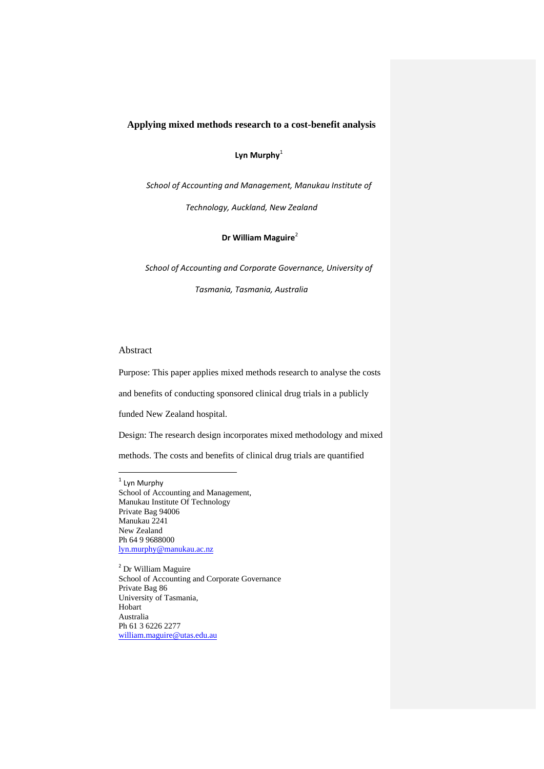# **Applying mixed methods research to a cost-benefit analysis**

**Lyn Murphy**<sup>1</sup>

*School of Accounting and Management, Manukau Institute of*

*Technology, Auckland, New Zealand*

# **Dr William Maguire**<sup>2</sup>

*School of Accounting and Corporate Governance, University of*

*Tasmania, Tasmania, Australia*

## Abstract

Purpose: This paper applies mixed methods research to analyse the costs

and benefits of conducting sponsored clinical drug trials in a publicly

funded New Zealand hospital.

Design: The research design incorporates mixed methodology and mixed

methods. The costs and benefits of clinical drug trials are quantified

 $1$  Lyn Murphy School of Accounting and Management*,*  Manukau Institute Of Technology Private Bag 94006 Manukau 2241 New Zealand Ph 64 9 9688000 lyn.murphy@manukau.ac.nz

<sup>2</sup> Dr William Maguire School of Accounting and Corporate Governance Private Bag 86 University of Tasmania, Hobart Australia Ph 61 3 6226 2277 william.maguire@utas.edu.au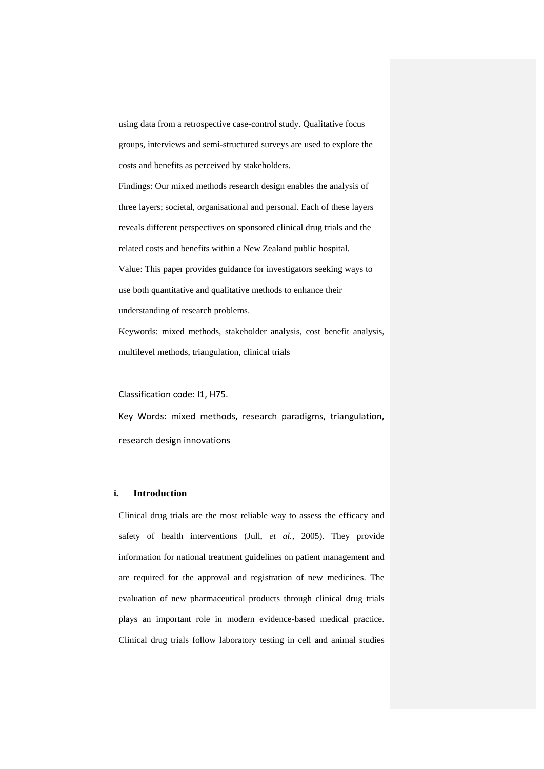using data from a retrospective case-control study. Qualitative focus groups, interviews and semi-structured surveys are used to explore the costs and benefits as perceived by stakeholders.

Findings: Our mixed methods research design enables the analysis of three layers; societal, organisational and personal. Each of these layers reveals different perspectives on sponsored clinical drug trials and the related costs and benefits within a New Zealand public hospital. Value: This paper provides guidance for investigators seeking ways to use both quantitative and qualitative methods to enhance their understanding of research problems.

Keywords: mixed methods, stakeholder analysis, cost benefit analysis, multilevel methods, triangulation, clinical trials

Classification code: I1, H75.

Key Words: mixed methods, research paradigms, triangulation, research design innovations

#### **i. Introduction**

Clinical drug trials are the most reliable way to assess the efficacy and safety of health interventions (Jull, *et al.*, 2005). They provide information for national treatment guidelines on patient management and are required for the approval and registration of new medicines. The evaluation of new pharmaceutical products through clinical drug trials plays an important role in modern evidence-based medical practice. Clinical drug trials follow laboratory testing in cell and animal studies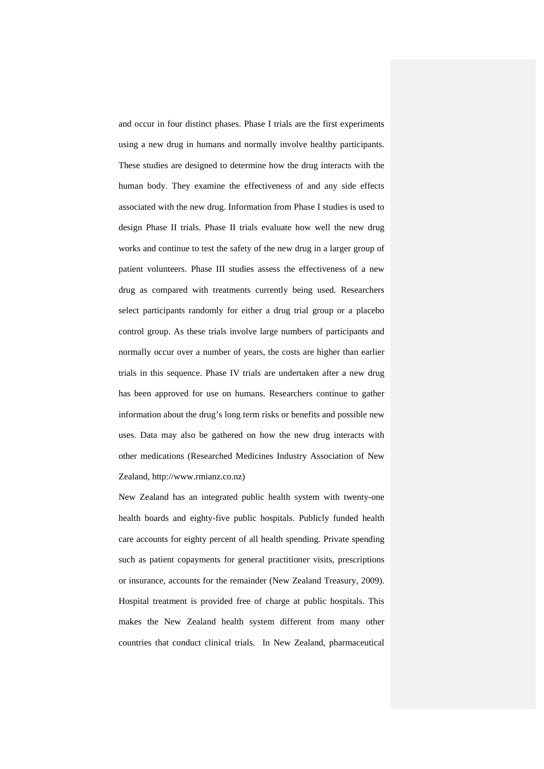and occur in four distinct phases. Phase I trials are the first experiments using a new drug in humans and normally involve healthy participants. These studies are designed to determine how the drug interacts with the human body. They examine the effectiveness of and any side effects associated with the new drug. Information from Phase I studies is used to design Phase II trials. Phase II trials evaluate how well the new drug works and continue to test the safety of the new drug in a larger group of patient volunteers. Phase III studies assess the effectiveness of a new drug as compared with treatments currently being used. Researchers select participants randomly for either a drug trial group or a placebo control group. As these trials involve large numbers of participants and normally occur over a number of years, the costs are higher than earlier trials in this sequence. Phase IV trials are undertaken after a new drug has been approved for use on humans. Researchers continue to gather information about the drug's long term risks or benefits and possible new uses. Data may also be gathered on how the new drug interacts with other medications (Researched Medicines Industry Association of New Zealand, http://www.rmianz.co.nz)

New Zealand has an integrated public health system with twenty-one health boards and eighty-five public hospitals. Publicly funded health care accounts for eighty percent of all health spending. Private spending such as patient copayments for general practitioner visits, prescriptions or insurance, accounts for the remainder (New Zealand Treasury, 2009). Hospital treatment is provided free of charge at public hospitals. This makes the New Zealand health system different from many other countries that conduct clinical trials. In New Zealand, pharmaceutical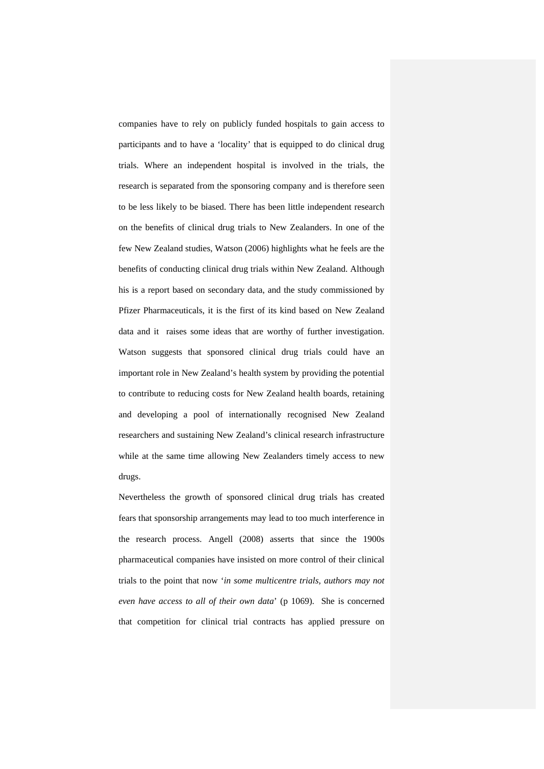companies have to rely on publicly funded hospitals to gain access to participants and to have a 'locality' that is equipped to do clinical drug trials. Where an independent hospital is involved in the trials, the research is separated from the sponsoring company and is therefore seen to be less likely to be biased. There has been little independent research on the benefits of clinical drug trials to New Zealanders. In one of the few New Zealand studies, Watson (2006) highlights what he feels are the benefits of conducting clinical drug trials within New Zealand. Although his is a report based on secondary data, and the study commissioned by Pfizer Pharmaceuticals, it is the first of its kind based on New Zealand data and it raises some ideas that are worthy of further investigation. Watson suggests that sponsored clinical drug trials could have an important role in New Zealand's health system by providing the potential to contribute to reducing costs for New Zealand health boards, retaining and developing a pool of internationally recognised New Zealand researchers and sustaining New Zealand's clinical research infrastructure while at the same time allowing New Zealanders timely access to new drugs.

Nevertheless the growth of sponsored clinical drug trials has created fears that sponsorship arrangements may lead to too much interference in the research process. Angell (2008) asserts that since the 1900s pharmaceutical companies have insisted on more control of their clinical trials to the point that now '*in some multicentre trials, authors may not even have access to all of their own data*' (p 1069)*.* She is concerned that competition for clinical trial contracts has applied pressure on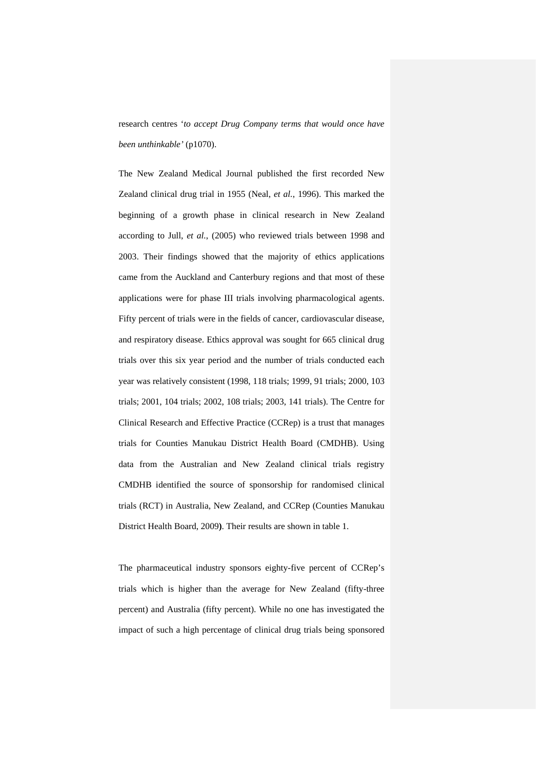research centres '*to accept Drug Company terms that would once have been unthinkable'* (p1070).

The New Zealand Medical Journal published the first recorded New Zealand clinical drug trial in 1955 (Neal, *et al.*, 1996). This marked the beginning of a growth phase in clinical research in New Zealand according to Jull, *et al.*, (2005) who reviewed trials between 1998 and 2003. Their findings showed that the majority of ethics applications came from the Auckland and Canterbury regions and that most of these applications were for phase III trials involving pharmacological agents. Fifty percent of trials were in the fields of cancer, cardiovascular disease, and respiratory disease. Ethics approval was sought for 665 clinical drug trials over this six year period and the number of trials conducted each year was relatively consistent (1998, 118 trials; 1999, 91 trials; 2000, 103 trials; 2001, 104 trials; 2002, 108 trials; 2003, 141 trials). The Centre for Clinical Research and Effective Practice (CCRep) is a trust that manages trials for Counties Manukau District Health Board (CMDHB). Using data from the Australian and New Zealand clinical trials registry CMDHB identified the source of sponsorship for randomised clinical trials (RCT) in Australia, New Zealand, and CCRep (Counties Manukau District Health Board, 2009**)**. Their results are shown in table 1.

The pharmaceutical industry sponsors eighty-five percent of CCRep's trials which is higher than the average for New Zealand (fifty-three percent) and Australia (fifty percent). While no one has investigated the impact of such a high percentage of clinical drug trials being sponsored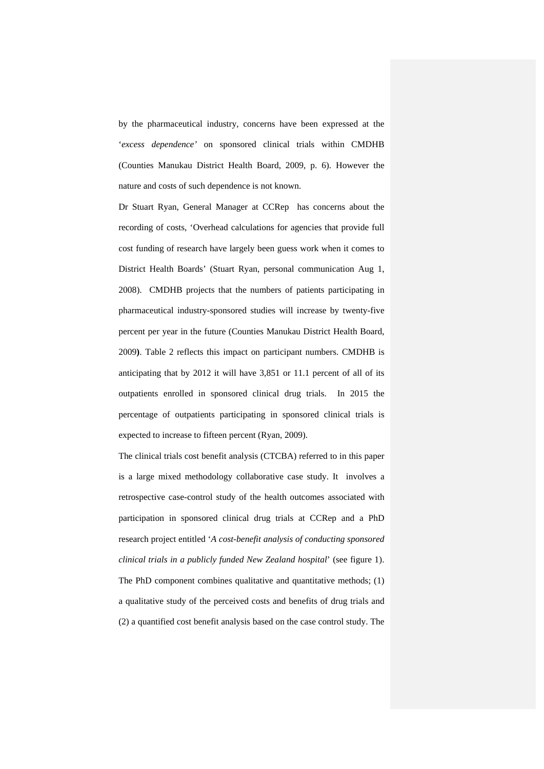by the pharmaceutical industry, concerns have been expressed at the '*excess dependence'* on sponsored clinical trials within CMDHB (Counties Manukau District Health Board, 2009, p. 6). However the nature and costs of such dependence is not known.

Dr Stuart Ryan, General Manager at CCRep has concerns about the recording of costs, 'Overhead calculations for agencies that provide full cost funding of research have largely been guess work when it comes to District Health Boards' (Stuart Ryan, personal communication Aug 1, 2008). CMDHB projects that the numbers of patients participating in pharmaceutical industry-sponsored studies will increase by twenty-five percent per year in the future (Counties Manukau District Health Board, 2009**)**. Table 2 reflects this impact on participant numbers. CMDHB is anticipating that by 2012 it will have 3,851 or 11.1 percent of all of its outpatients enrolled in sponsored clinical drug trials. In 2015 the percentage of outpatients participating in sponsored clinical trials is expected to increase to fifteen percent (Ryan, 2009).

The clinical trials cost benefit analysis (CTCBA) referred to in this paper is a large mixed methodology collaborative case study. It involves a retrospective case-control study of the health outcomes associated with participation in sponsored clinical drug trials at CCRep and a PhD research project entitled '*A cost-benefit analysis of conducting sponsored clinical trials in a publicly funded New Zealand hospital*' (see figure 1). The PhD component combines qualitative and quantitative methods; (1) a qualitative study of the perceived costs and benefits of drug trials and (2) a quantified cost benefit analysis based on the case control study. The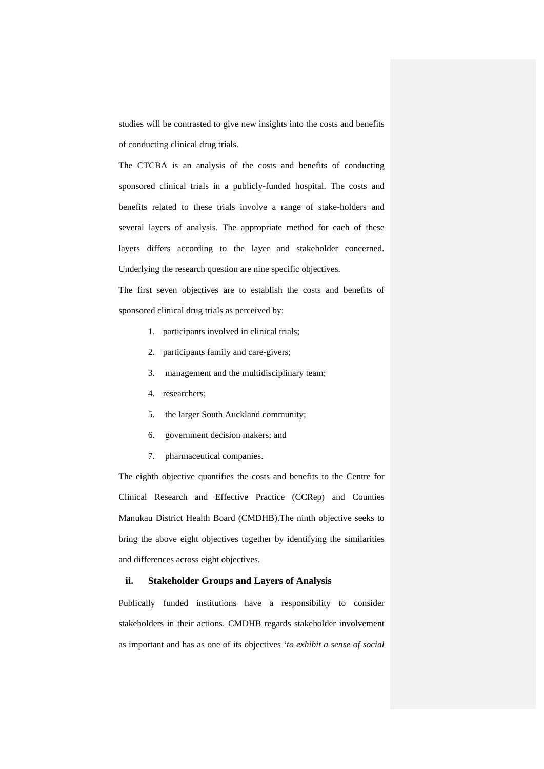studies will be contrasted to give new insights into the costs and benefits of conducting clinical drug trials.

The CTCBA is an analysis of the costs and benefits of conducting sponsored clinical trials in a publicly-funded hospital. The costs and benefits related to these trials involve a range of stake-holders and several layers of analysis. The appropriate method for each of these layers differs according to the layer and stakeholder concerned. Underlying the research question are nine specific objectives.

The first seven objectives are to establish the costs and benefits of sponsored clinical drug trials as perceived by:

- 1. participants involved in clinical trials;
- 2. participants family and care-givers;
- 3. management and the multidisciplinary team;
- 4. researchers;
- 5. the larger South Auckland community;
- 6. government decision makers; and
- 7. pharmaceutical companies.

The eighth objective quantifies the costs and benefits to the Centre for Clinical Research and Effective Practice (CCRep) and Counties Manukau District Health Board (CMDHB).The ninth objective seeks to bring the above eight objectives together by identifying the similarities and differences across eight objectives.

### **ii. Stakeholder Groups and Layers of Analysis**

Publically funded institutions have a responsibility to consider stakeholders in their actions. CMDHB regards stakeholder involvement as important and has as one of its objectives '*to exhibit a sense of social*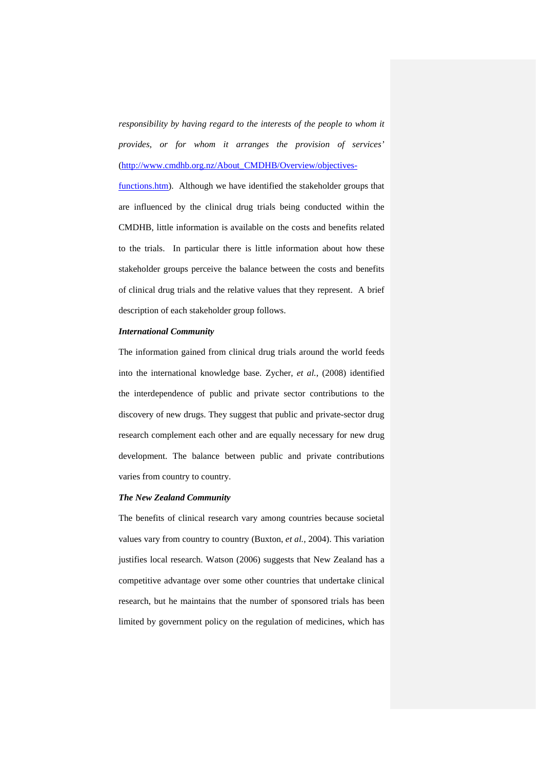*responsibility by having regard to the interests of the people to whom it provides, or for whom it arranges the provision of services'*  (http://www.cmdhb.org.nz/About\_CMDHB/Overview/objectives-

functions.htm). Although we have identified the stakeholder groups that are influenced by the clinical drug trials being conducted within the CMDHB, little information is available on the costs and benefits related to the trials. In particular there is little information about how these stakeholder groups perceive the balance between the costs and benefits of clinical drug trials and the relative values that they represent. A brief description of each stakeholder group follows.

#### *International Community*

The information gained from clinical drug trials around the world feeds into the international knowledge base. Zycher, *et al.*, (2008) identified the interdependence of public and private sector contributions to the discovery of new drugs. They suggest that public and private-sector drug research complement each other and are equally necessary for new drug development. The balance between public and private contributions varies from country to country.

#### *The New Zealand Community*

The benefits of clinical research vary among countries because societal values vary from country to country (Buxton, *et al.*, 2004). This variation justifies local research. Watson (2006) suggests that New Zealand has a competitive advantage over some other countries that undertake clinical research, but he maintains that the number of sponsored trials has been limited by government policy on the regulation of medicines, which has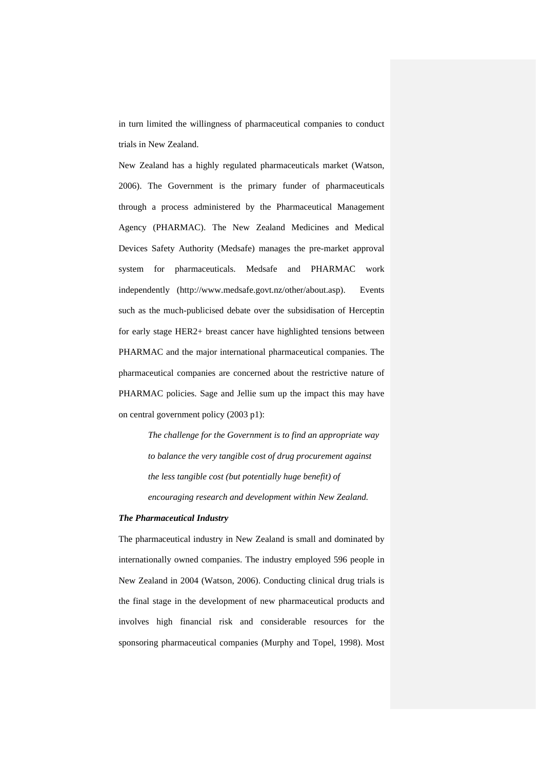in turn limited the willingness of pharmaceutical companies to conduct trials in New Zealand.

New Zealand has a highly regulated pharmaceuticals market (Watson, 2006). The Government is the primary funder of pharmaceuticals through a process administered by the Pharmaceutical Management Agency (PHARMAC). The New Zealand Medicines and Medical Devices Safety Authority (Medsafe) manages the pre-market approval system for pharmaceuticals. Medsafe and PHARMAC work independently (http://www.medsafe.govt.nz/other/about.asp). Events such as the much-publicised debate over the subsidisation of Herceptin for early stage HER2+ breast cancer have highlighted tensions between PHARMAC and the major international pharmaceutical companies. The pharmaceutical companies are concerned about the restrictive nature of PHARMAC policies. Sage and Jellie sum up the impact this may have on central government policy (2003 p1):

> *The challenge for the Government is to find an appropriate way to balance the very tangible cost of drug procurement against the less tangible cost (but potentially huge benefit) of encouraging research and development within New Zealand.*

### *The Pharmaceutical Industry*

The pharmaceutical industry in New Zealand is small and dominated by internationally owned companies. The industry employed 596 people in New Zealand in 2004 (Watson, 2006). Conducting clinical drug trials is the final stage in the development of new pharmaceutical products and involves high financial risk and considerable resources for the sponsoring pharmaceutical companies (Murphy and Topel, 1998). Most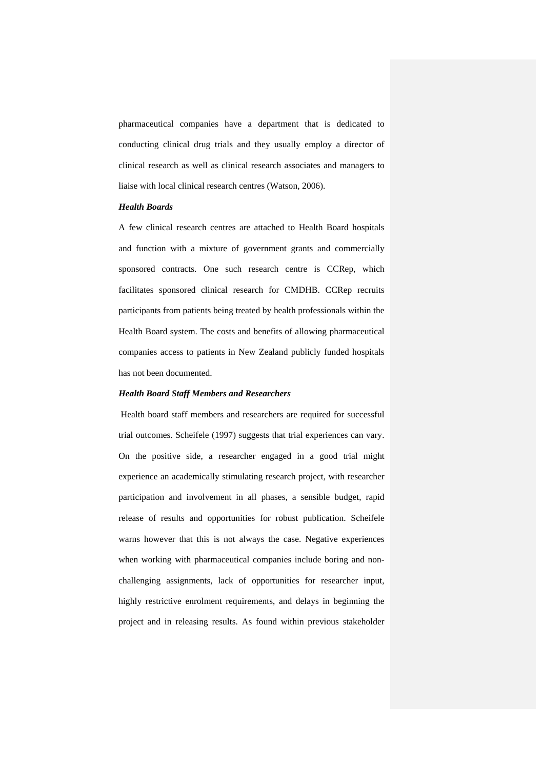pharmaceutical companies have a department that is dedicated to conducting clinical drug trials and they usually employ a director of clinical research as well as clinical research associates and managers to liaise with local clinical research centres (Watson, 2006).

#### *Health Boards*

A few clinical research centres are attached to Health Board hospitals and function with a mixture of government grants and commercially sponsored contracts. One such research centre is CCRep, which facilitates sponsored clinical research for CMDHB. CCRep recruits participants from patients being treated by health professionals within the Health Board system. The costs and benefits of allowing pharmaceutical companies access to patients in New Zealand publicly funded hospitals has not been documented.

### *Health Board Staff Members and Researchers*

 Health board staff members and researchers are required for successful trial outcomes. Scheifele (1997) suggests that trial experiences can vary. On the positive side, a researcher engaged in a good trial might experience an academically stimulating research project, with researcher participation and involvement in all phases, a sensible budget, rapid release of results and opportunities for robust publication. Scheifele warns however that this is not always the case. Negative experiences when working with pharmaceutical companies include boring and nonchallenging assignments, lack of opportunities for researcher input, highly restrictive enrolment requirements, and delays in beginning the project and in releasing results. As found within previous stakeholder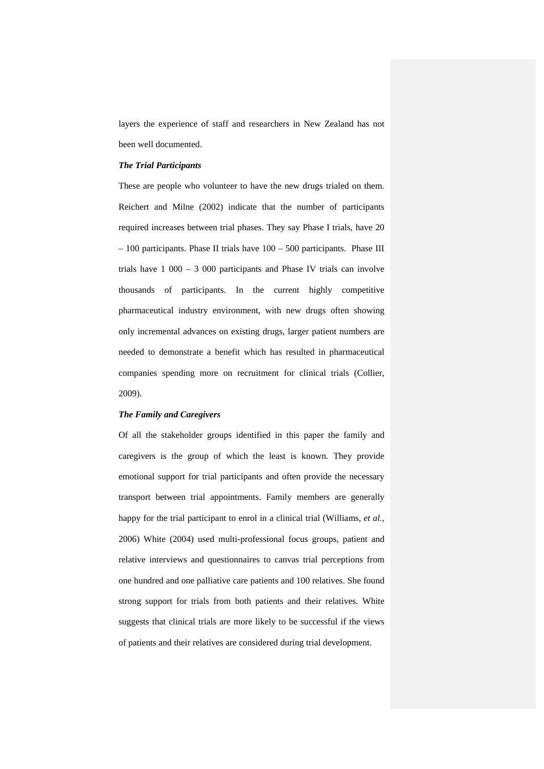layers the experience of staff and researchers in New Zealand has not been well documented.

### *The Trial Participants*

These are people who volunteer to have the new drugs trialed on them. Reichert and Milne (2002) indicate that the number of participants required increases between trial phases. They say Phase I trials, have 20  $-100$  participants. Phase II trials have  $100 - 500$  participants. Phase III trials have 1 000 – 3 000 participants and Phase IV trials can involve thousands of participants. In the current highly competitive pharmaceutical industry environment, with new drugs often showing only incremental advances on existing drugs, larger patient numbers are needed to demonstrate a benefit which has resulted in pharmaceutical companies spending more on recruitment for clinical trials (Collier, 2009).

### *The Family and Caregivers*

Of all the stakeholder groups identified in this paper the family and caregivers is the group of which the least is known. They provide emotional support for trial participants and often provide the necessary transport between trial appointments. Family members are generally happy for the trial participant to enrol in a clinical trial (Williams, *et al.*, 2006) White (2004) used multi-professional focus groups, patient and relative interviews and questionnaires to canvas trial perceptions from one hundred and one palliative care patients and 100 relatives. She found strong support for trials from both patients and their relatives. White suggests that clinical trials are more likely to be successful if the views of patients and their relatives are considered during trial development.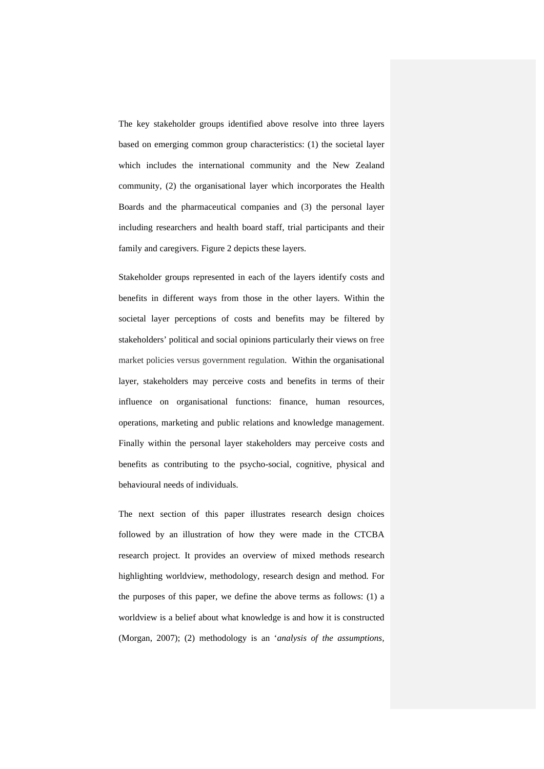The key stakeholder groups identified above resolve into three layers based on emerging common group characteristics: (1) the societal layer which includes the international community and the New Zealand community, (2) the organisational layer which incorporates the Health Boards and the pharmaceutical companies and (3) the personal layer including researchers and health board staff, trial participants and their family and caregivers. Figure 2 depicts these layers.

Stakeholder groups represented in each of the layers identify costs and benefits in different ways from those in the other layers. Within the societal layer perceptions of costs and benefits may be filtered by stakeholders' political and social opinions particularly their views on free market policies versus government regulation. Within the organisational layer, stakeholders may perceive costs and benefits in terms of their influence on organisational functions: finance, human resources, operations, marketing and public relations and knowledge management. Finally within the personal layer stakeholders may perceive costs and benefits as contributing to the psycho-social, cognitive, physical and behavioural needs of individuals.

The next section of this paper illustrates research design choices followed by an illustration of how they were made in the CTCBA research project. It provides an overview of mixed methods research highlighting worldview, methodology, research design and method. For the purposes of this paper, we define the above terms as follows: (1) a worldview is a belief about what knowledge is and how it is constructed (Morgan, 2007); (2) methodology is an '*analysis of the assumptions,*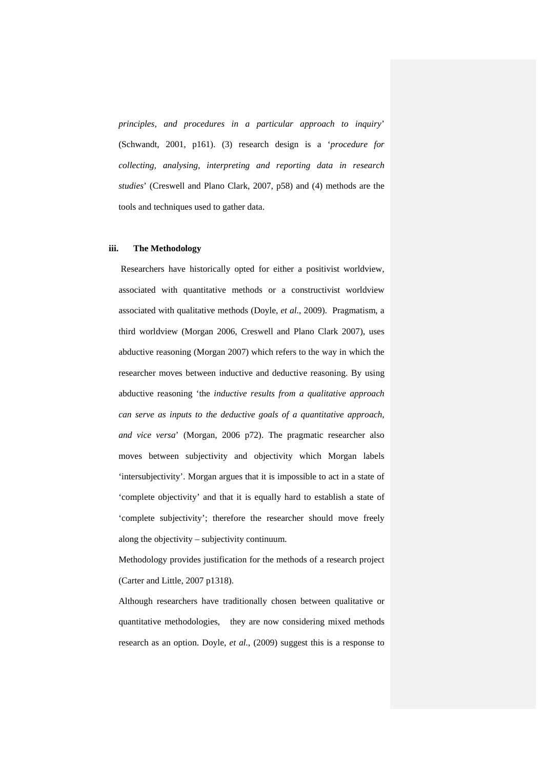*principles, and procedures in a particular approach to inquiry*' (Schwandt, 2001, p161). (3) research design is a '*procedure for collecting, analysing, interpreting and reporting data in research studies*' (Creswell and Plano Clark, 2007, p58) and (4) methods are the tools and techniques used to gather data.

#### **iii. The Methodology**

 Researchers have historically opted for either a positivist worldview, associated with quantitative methods or a constructivist worldview associated with qualitative methods (Doyle, *et al.*, 2009). Pragmatism, a third worldview (Morgan 2006, Creswell and Plano Clark 2007), uses abductive reasoning (Morgan 2007) which refers to the way in which the researcher moves between inductive and deductive reasoning. By using abductive reasoning 'the *inductive results from a qualitative approach can serve as inputs to the deductive goals of a quantitative approach, and vice versa*' (Morgan, 2006 p72). The pragmatic researcher also moves between subjectivity and objectivity which Morgan labels 'intersubjectivity'. Morgan argues that it is impossible to act in a state of 'complete objectivity' and that it is equally hard to establish a state of 'complete subjectivity'; therefore the researcher should move freely along the objectivity – subjectivity continuum.

Methodology provides justification for the methods of a research project (Carter and Little, 2007 p1318).

Although researchers have traditionally chosen between qualitative or quantitative methodologies, they are now considering mixed methods research as an option. Doyle, *et al.*, (2009) suggest this is a response to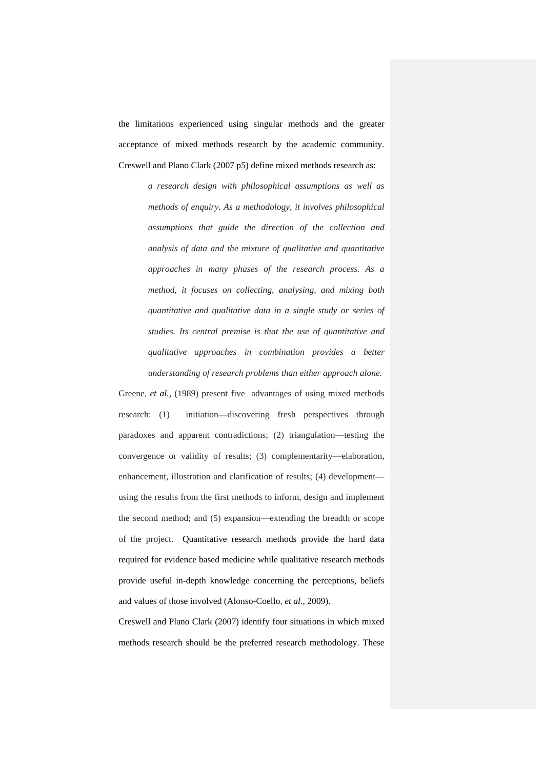the limitations experienced using singular methods and the greater acceptance of mixed methods research by the academic community. Creswell and Plano Clark (2007 p5) define mixed methods research as:

> *a research design with philosophical assumptions as well as methods of enquiry. As a methodology, it involves philosophical assumptions that guide the direction of the collection and analysis of data and the mixture of qualitative and quantitative approaches in many phases of the research process. As a method, it focuses on collecting, analysing, and mixing both quantitative and qualitative data in a single study or series of studies. Its central premise is that the use of quantitative and qualitative approaches in combination provides a better understanding of research problems than either approach alone.*

Greene, *et al.*, (1989) present five advantages of using mixed methods research: (1) initiation—discovering fresh perspectives through paradoxes and apparent contradictions; (2) triangulation—testing the convergence or validity of results; (3) complementarity—elaboration, enhancement, illustration and clarification of results; (4) development using the results from the first methods to inform, design and implement the second method; and (5) expansion—extending the breadth or scope of the project. Quantitative research methods provide the hard data required for evidence based medicine while qualitative research methods provide useful in-depth knowledge concerning the perceptions, beliefs and values of those involved (Alonso-Coello, *et al.*, 2009).

Creswell and Plano Clark (2007) identify four situations in which mixed methods research should be the preferred research methodology. These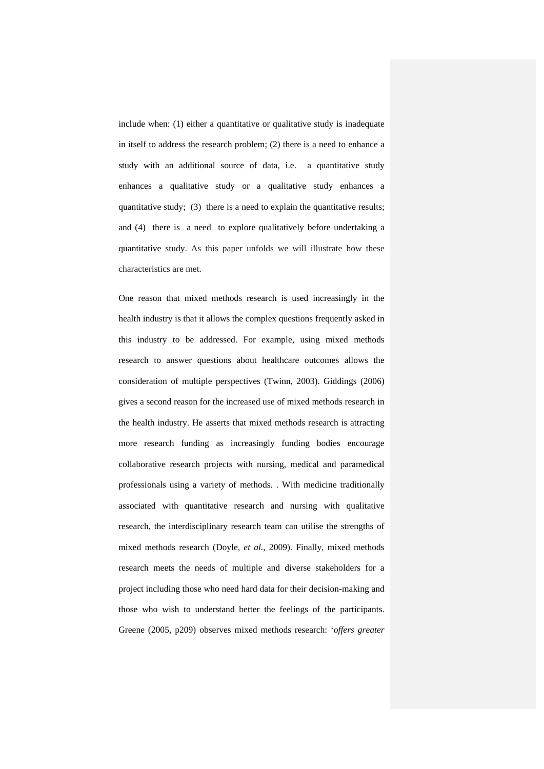include when: (1) either a quantitative or qualitative study is inadequate in itself to address the research problem; (2) there is a need to enhance a study with an additional source of data, i.e. a quantitative study enhances a qualitative study or a qualitative study enhances a quantitative study; (3) there is a need to explain the quantitative results; and (4) there is a need to explore qualitatively before undertaking a quantitative study. As this paper unfolds we will illustrate how these characteristics are met.

One reason that mixed methods research is used increasingly in the health industry is that it allows the complex questions frequently asked in this industry to be addressed. For example, using mixed methods research to answer questions about healthcare outcomes allows the consideration of multiple perspectives (Twinn, 2003). Giddings (2006) gives a second reason for the increased use of mixed methods research in the health industry. He asserts that mixed methods research is attracting more research funding as increasingly funding bodies encourage collaborative research projects with nursing, medical and paramedical professionals using a variety of methods. . With medicine traditionally associated with quantitative research and nursing with qualitative research, the interdisciplinary research team can utilise the strengths of mixed methods research (Doyle, *et al.*, 2009). Finally, mixed methods research meets the needs of multiple and diverse stakeholders for a project including those who need hard data for their decision-making and those who wish to understand better the feelings of the participants. Greene (2005, p209) observes mixed methods research: '*offers greater*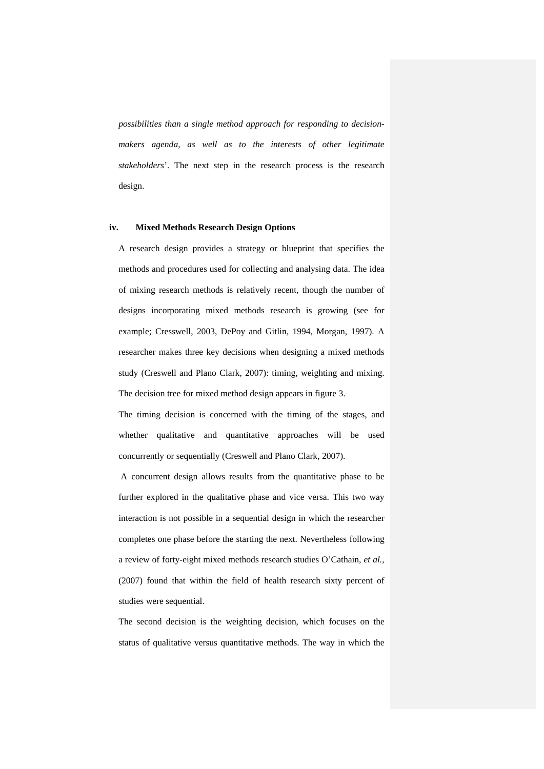*possibilities than a single method approach for responding to decisionmakers agenda, as well as to the interests of other legitimate stakeholders*'. The next step in the research process is the research design.

#### **iv. Mixed Methods Research Design Options**

A research design provides a strategy or blueprint that specifies the methods and procedures used for collecting and analysing data. The idea of mixing research methods is relatively recent, though the number of designs incorporating mixed methods research is growing (see for example; Cresswell, 2003, DePoy and Gitlin, 1994, Morgan, 1997). A researcher makes three key decisions when designing a mixed methods study (Creswell and Plano Clark, 2007): timing, weighting and mixing. The decision tree for mixed method design appears in figure 3.

The timing decision is concerned with the timing of the stages, and whether qualitative and quantitative approaches will be used concurrently or sequentially (Creswell and Plano Clark, 2007).

 A concurrent design allows results from the quantitative phase to be further explored in the qualitative phase and vice versa. This two way interaction is not possible in a sequential design in which the researcher completes one phase before the starting the next. Nevertheless following a review of forty-eight mixed methods research studies O'Cathain, *et al.*, (2007) found that within the field of health research sixty percent of studies were sequential.

The second decision is the weighting decision, which focuses on the status of qualitative versus quantitative methods. The way in which the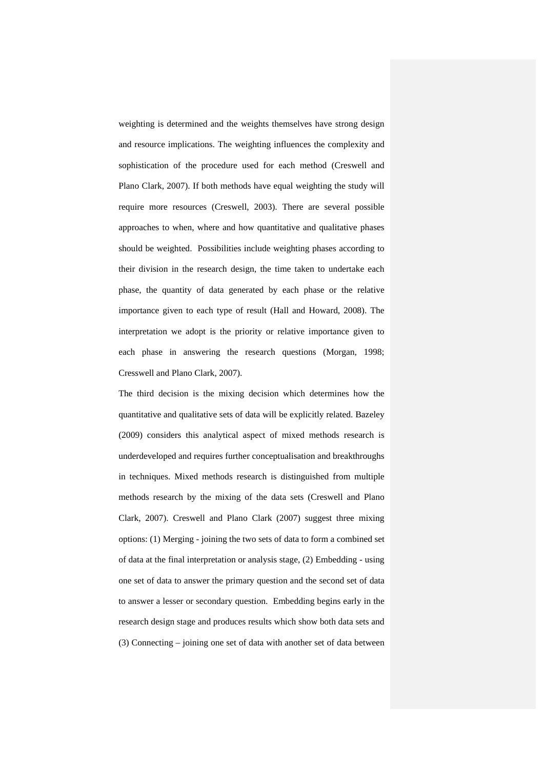weighting is determined and the weights themselves have strong design and resource implications. The weighting influences the complexity and sophistication of the procedure used for each method (Creswell and Plano Clark, 2007). If both methods have equal weighting the study will require more resources (Creswell, 2003). There are several possible approaches to when, where and how quantitative and qualitative phases should be weighted. Possibilities include weighting phases according to their division in the research design, the time taken to undertake each phase, the quantity of data generated by each phase or the relative importance given to each type of result (Hall and Howard, 2008). The interpretation we adopt is the priority or relative importance given to each phase in answering the research questions (Morgan, 1998; Cresswell and Plano Clark, 2007).

The third decision is the mixing decision which determines how the quantitative and qualitative sets of data will be explicitly related. Bazeley (2009) considers this analytical aspect of mixed methods research is underdeveloped and requires further conceptualisation and breakthroughs in techniques. Mixed methods research is distinguished from multiple methods research by the mixing of the data sets (Creswell and Plano Clark, 2007). Creswell and Plano Clark (2007) suggest three mixing options: (1) Merging - joining the two sets of data to form a combined set of data at the final interpretation or analysis stage, (2) Embedding - using one set of data to answer the primary question and the second set of data to answer a lesser or secondary question. Embedding begins early in the research design stage and produces results which show both data sets and (3) Connecting – joining one set of data with another set of data between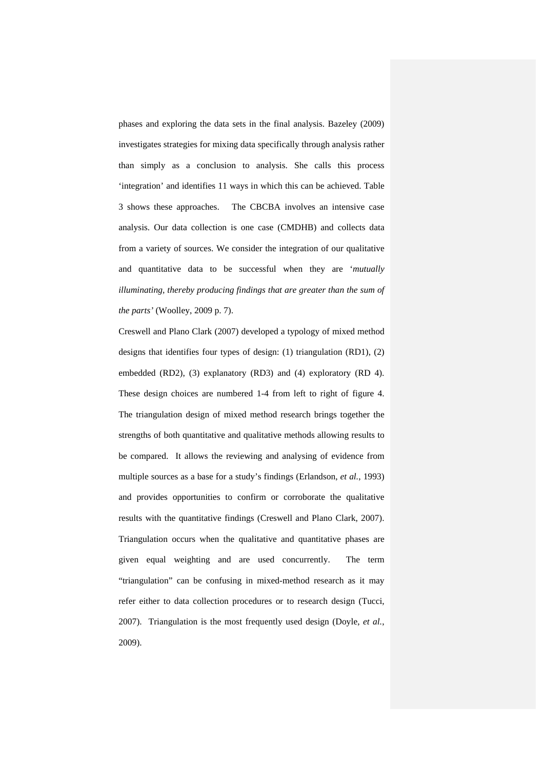phases and exploring the data sets in the final analysis. Bazeley (2009) investigates strategies for mixing data specifically through analysis rather than simply as a conclusion to analysis. She calls this process 'integration' and identifies 11 ways in which this can be achieved. Table 3 shows these approaches. The CBCBA involves an intensive case analysis. Our data collection is one case (CMDHB) and collects data from a variety of sources. We consider the integration of our qualitative and quantitative data to be successful when they are '*mutually illuminating, thereby producing findings that are greater than the sum of the parts'* (Woolley, 2009 p. 7).

Creswell and Plano Clark (2007) developed a typology of mixed method designs that identifies four types of design: (1) triangulation (RD1), (2) embedded (RD2), (3) explanatory (RD3) and (4) exploratory (RD 4). These design choices are numbered 1-4 from left to right of figure 4. The triangulation design of mixed method research brings together the strengths of both quantitative and qualitative methods allowing results to be compared. It allows the reviewing and analysing of evidence from multiple sources as a base for a study's findings (Erlandson, *et al.*, 1993) and provides opportunities to confirm or corroborate the qualitative results with the quantitative findings (Creswell and Plano Clark, 2007). Triangulation occurs when the qualitative and quantitative phases are given equal weighting and are used concurrently. The term "triangulation" can be confusing in mixed-method research as it may refer either to data collection procedures or to research design (Tucci, 2007). Triangulation is the most frequently used design (Doyle, *et al.*, 2009).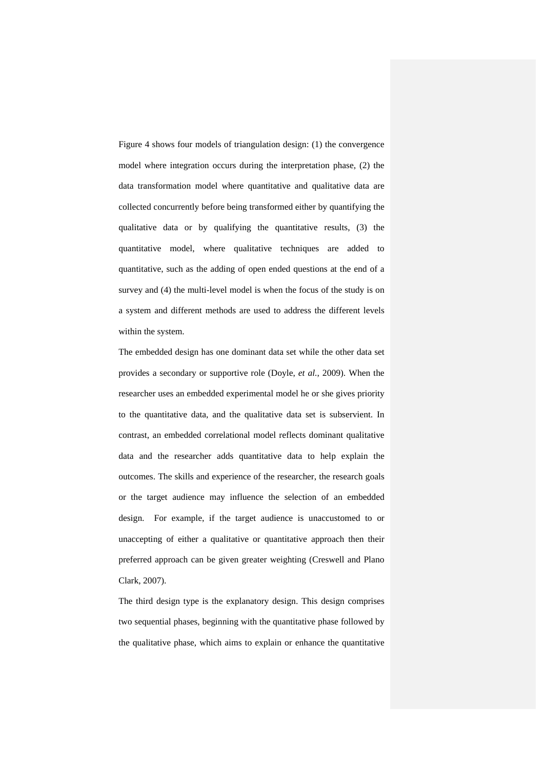Figure 4 shows four models of triangulation design: (1) the convergence model where integration occurs during the interpretation phase, (2) the data transformation model where quantitative and qualitative data are collected concurrently before being transformed either by quantifying the qualitative data or by qualifying the quantitative results, (3) the quantitative model, where qualitative techniques are added to quantitative, such as the adding of open ended questions at the end of a survey and (4) the multi-level model is when the focus of the study is on a system and different methods are used to address the different levels within the system.

The embedded design has one dominant data set while the other data set provides a secondary or supportive role (Doyle, *et al.*, 2009). When the researcher uses an embedded experimental model he or she gives priority to the quantitative data, and the qualitative data set is subservient. In contrast, an embedded correlational model reflects dominant qualitative data and the researcher adds quantitative data to help explain the outcomes. The skills and experience of the researcher, the research goals or the target audience may influence the selection of an embedded design. For example, if the target audience is unaccustomed to or unaccepting of either a qualitative or quantitative approach then their preferred approach can be given greater weighting (Creswell and Plano Clark, 2007).

The third design type is the explanatory design. This design comprises two sequential phases, beginning with the quantitative phase followed by the qualitative phase, which aims to explain or enhance the quantitative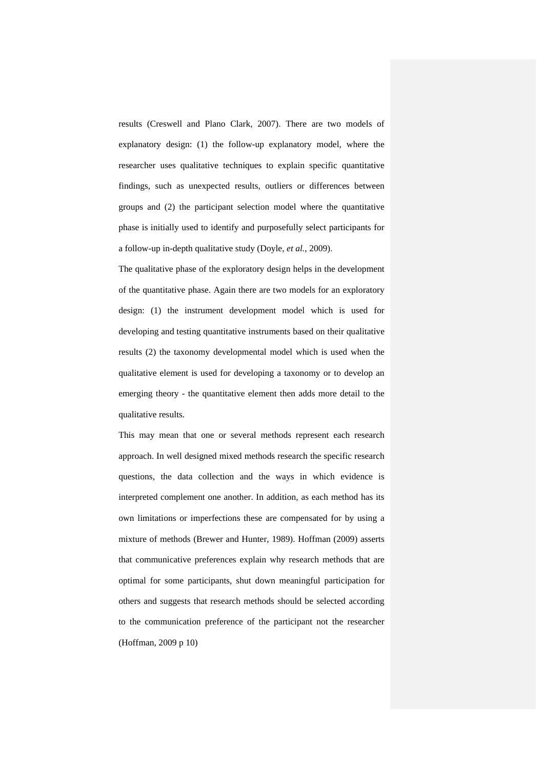results (Creswell and Plano Clark, 2007). There are two models of explanatory design: (1) the follow-up explanatory model, where the researcher uses qualitative techniques to explain specific quantitative findings, such as unexpected results, outliers or differences between groups and (2) the participant selection model where the quantitative phase is initially used to identify and purposefully select participants for a follow-up in-depth qualitative study (Doyle, *et al.*, 2009).

The qualitative phase of the exploratory design helps in the development of the quantitative phase. Again there are two models for an exploratory design: (1) the instrument development model which is used for developing and testing quantitative instruments based on their qualitative results (2) the taxonomy developmental model which is used when the qualitative element is used for developing a taxonomy or to develop an emerging theory - the quantitative element then adds more detail to the qualitative results.

This may mean that one or several methods represent each research approach. In well designed mixed methods research the specific research questions, the data collection and the ways in which evidence is interpreted complement one another. In addition, as each method has its own limitations or imperfections these are compensated for by using a mixture of methods (Brewer and Hunter, 1989). Hoffman (2009) asserts that communicative preferences explain why research methods that are optimal for some participants, shut down meaningful participation for others and suggests that research methods should be selected according to the communication preference of the participant not the researcher (Hoffman, 2009 p 10)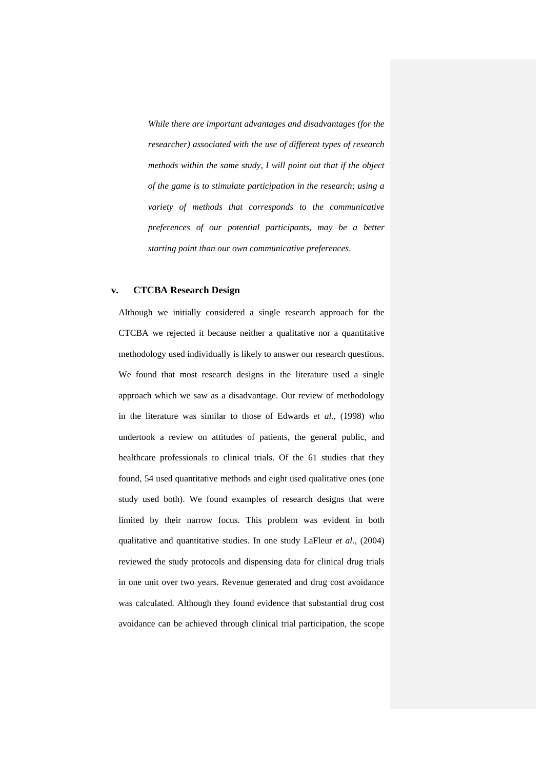*While there are important advantages and disadvantages (for the researcher) associated with the use of different types of research methods within the same study, I will point out that if the object of the game is to stimulate participation in the research; using a variety of methods that corresponds to the communicative preferences of our potential participants, may be a better starting point than our own communicative preferences*.

### **v. CTCBA Research Design**

Although we initially considered a single research approach for the CTCBA we rejected it because neither a qualitative nor a quantitative methodology used individually is likely to answer our research questions. We found that most research designs in the literature used a single approach which we saw as a disadvantage. Our review of methodology in the literature was similar to those of Edwards *et al.*, (1998) who undertook a review on attitudes of patients, the general public, and healthcare professionals to clinical trials. Of the 61 studies that they found, 54 used quantitative methods and eight used qualitative ones (one study used both). We found examples of research designs that were limited by their narrow focus. This problem was evident in both qualitative and quantitative studies. In one study LaFleur *et al.*, (2004) reviewed the study protocols and dispensing data for clinical drug trials in one unit over two years. Revenue generated and drug cost avoidance was calculated. Although they found evidence that substantial drug cost avoidance can be achieved through clinical trial participation, the scope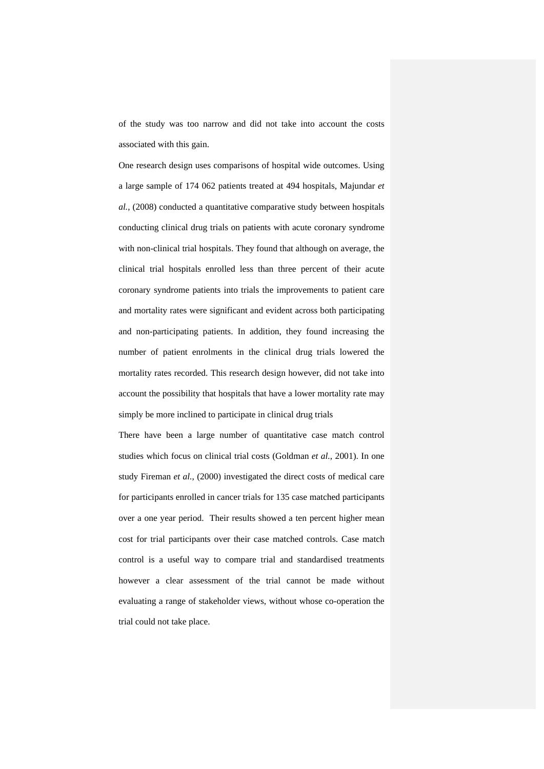of the study was too narrow and did not take into account the costs associated with this gain.

One research design uses comparisons of hospital wide outcomes. Using a large sample of 174 062 patients treated at 494 hospitals, Majundar *et al.*, (2008) conducted a quantitative comparative study between hospitals conducting clinical drug trials on patients with acute coronary syndrome with non-clinical trial hospitals. They found that although on average, the clinical trial hospitals enrolled less than three percent of their acute coronary syndrome patients into trials the improvements to patient care and mortality rates were significant and evident across both participating and non-participating patients. In addition, they found increasing the number of patient enrolments in the clinical drug trials lowered the mortality rates recorded. This research design however, did not take into account the possibility that hospitals that have a lower mortality rate may simply be more inclined to participate in clinical drug trials

There have been a large number of quantitative case match control studies which focus on clinical trial costs (Goldman *et al.*, 2001). In one study Fireman *et al.*, (2000) investigated the direct costs of medical care for participants enrolled in cancer trials for 135 case matched participants over a one year period. Their results showed a ten percent higher mean cost for trial participants over their case matched controls. Case match control is a useful way to compare trial and standardised treatments however a clear assessment of the trial cannot be made without evaluating a range of stakeholder views, without whose co-operation the trial could not take place.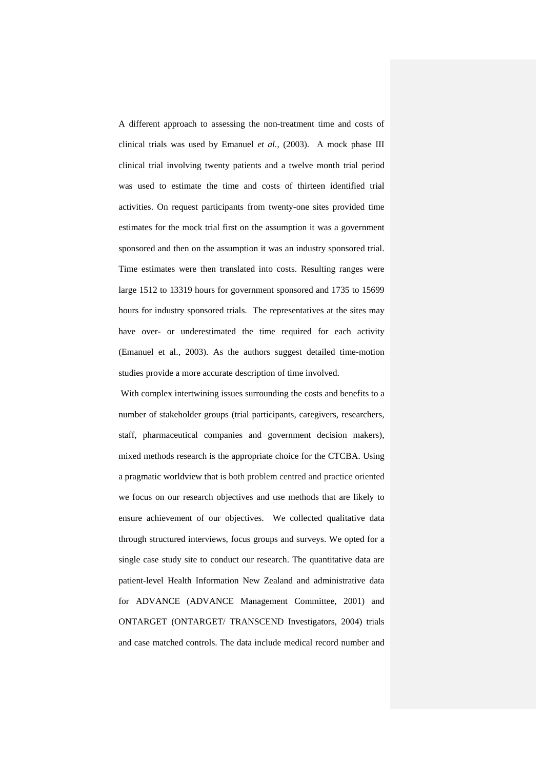A different approach to assessing the non-treatment time and costs of clinical trials was used by Emanuel *et al.*, (2003). A mock phase III clinical trial involving twenty patients and a twelve month trial period was used to estimate the time and costs of thirteen identified trial activities. On request participants from twenty-one sites provided time estimates for the mock trial first on the assumption it was a government sponsored and then on the assumption it was an industry sponsored trial. Time estimates were then translated into costs. Resulting ranges were large 1512 to 13319 hours for government sponsored and 1735 to 15699 hours for industry sponsored trials. The representatives at the sites may have over- or underestimated the time required for each activity (Emanuel et al., 2003). As the authors suggest detailed time-motion studies provide a more accurate description of time involved.

 With complex intertwining issues surrounding the costs and benefits to a number of stakeholder groups (trial participants, caregivers, researchers, staff, pharmaceutical companies and government decision makers), mixed methods research is the appropriate choice for the CTCBA. Using a pragmatic worldview that is both problem centred and practice oriented we focus on our research objectives and use methods that are likely to ensure achievement of our objectives. We collected qualitative data through structured interviews, focus groups and surveys. We opted for a single case study site to conduct our research. The quantitative data are patient-level Health Information New Zealand and administrative data for ADVANCE (ADVANCE Management Committee, 2001) and ONTARGET (ONTARGET/ TRANSCEND Investigators, 2004) trials and case matched controls. The data include medical record number and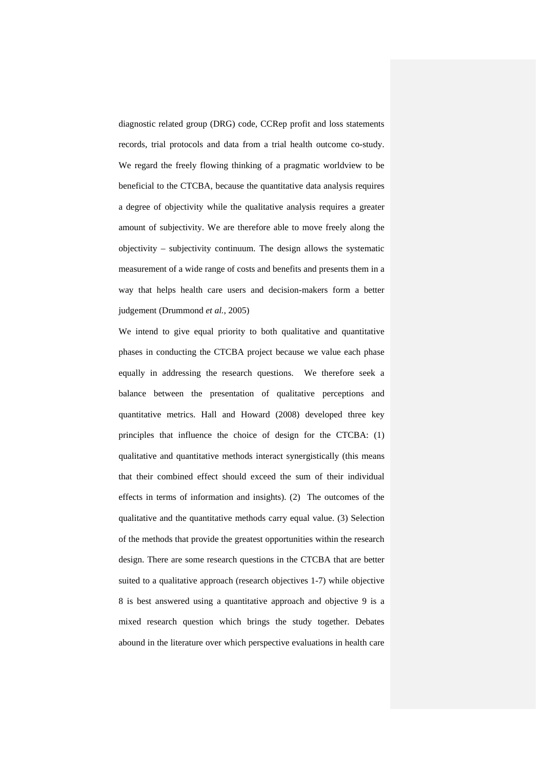diagnostic related group (DRG) code, CCRep profit and loss statements records, trial protocols and data from a trial health outcome co-study. We regard the freely flowing thinking of a pragmatic worldview to be beneficial to the CTCBA, because the quantitative data analysis requires a degree of objectivity while the qualitative analysis requires a greater amount of subjectivity. We are therefore able to move freely along the objectivity – subjectivity continuum. The design allows the systematic measurement of a wide range of costs and benefits and presents them in a way that helps health care users and decision-makers form a better judgement (Drummond *et al.*, 2005)

We intend to give equal priority to both qualitative and quantitative phases in conducting the CTCBA project because we value each phase equally in addressing the research questions. We therefore seek a balance between the presentation of qualitative perceptions and quantitative metrics. Hall and Howard (2008) developed three key principles that influence the choice of design for the CTCBA: (1) qualitative and quantitative methods interact synergistically (this means that their combined effect should exceed the sum of their individual effects in terms of information and insights). (2) The outcomes of the qualitative and the quantitative methods carry equal value. (3) Selection of the methods that provide the greatest opportunities within the research design. There are some research questions in the CTCBA that are better suited to a qualitative approach (research objectives 1-7) while objective 8 is best answered using a quantitative approach and objective 9 is a mixed research question which brings the study together. Debates abound in the literature over which perspective evaluations in health care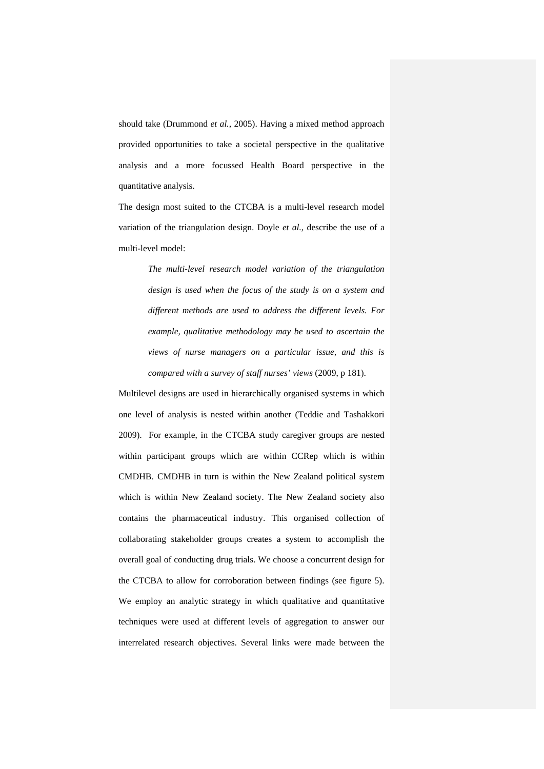should take (Drummond *et al.*, 2005). Having a mixed method approach provided opportunities to take a societal perspective in the qualitative analysis and a more focussed Health Board perspective in the quantitative analysis.

The design most suited to the CTCBA is a multi-level research model variation of the triangulation design. Doyle *et al.*, describe the use of a multi-level model:

> *The multi-level research model variation of the triangulation design is used when the focus of the study is on a system and different methods are used to address the different levels. For example, qualitative methodology may be used to ascertain the views of nurse managers on a particular issue, and this is compared with a survey of staff nurses' views* (2009, p 181).

Multilevel designs are used in hierarchically organised systems in which one level of analysis is nested within another (Teddie and Tashakkori 2009). For example, in the CTCBA study caregiver groups are nested within participant groups which are within CCRep which is within CMDHB. CMDHB in turn is within the New Zealand political system which is within New Zealand society. The New Zealand society also contains the pharmaceutical industry. This organised collection of collaborating stakeholder groups creates a system to accomplish the overall goal of conducting drug trials. We choose a concurrent design for the CTCBA to allow for corroboration between findings (see figure 5). We employ an analytic strategy in which qualitative and quantitative techniques were used at different levels of aggregation to answer our interrelated research objectives. Several links were made between the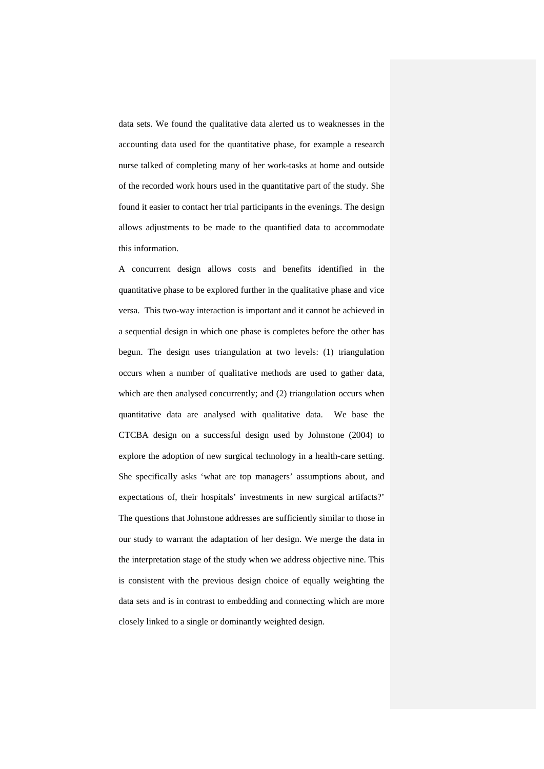data sets. We found the qualitative data alerted us to weaknesses in the accounting data used for the quantitative phase, for example a research nurse talked of completing many of her work-tasks at home and outside of the recorded work hours used in the quantitative part of the study. She found it easier to contact her trial participants in the evenings. The design allows adjustments to be made to the quantified data to accommodate this information.

A concurrent design allows costs and benefits identified in the quantitative phase to be explored further in the qualitative phase and vice versa. This two-way interaction is important and it cannot be achieved in a sequential design in which one phase is completes before the other has begun. The design uses triangulation at two levels: (1) triangulation occurs when a number of qualitative methods are used to gather data, which are then analysed concurrently; and (2) triangulation occurs when quantitative data are analysed with qualitative data. We base the CTCBA design on a successful design used by Johnstone (2004) to explore the adoption of new surgical technology in a health-care setting. She specifically asks 'what are top managers' assumptions about, and expectations of, their hospitals' investments in new surgical artifacts?' The questions that Johnstone addresses are sufficiently similar to those in our study to warrant the adaptation of her design. We merge the data in the interpretation stage of the study when we address objective nine. This is consistent with the previous design choice of equally weighting the data sets and is in contrast to embedding and connecting which are more closely linked to a single or dominantly weighted design.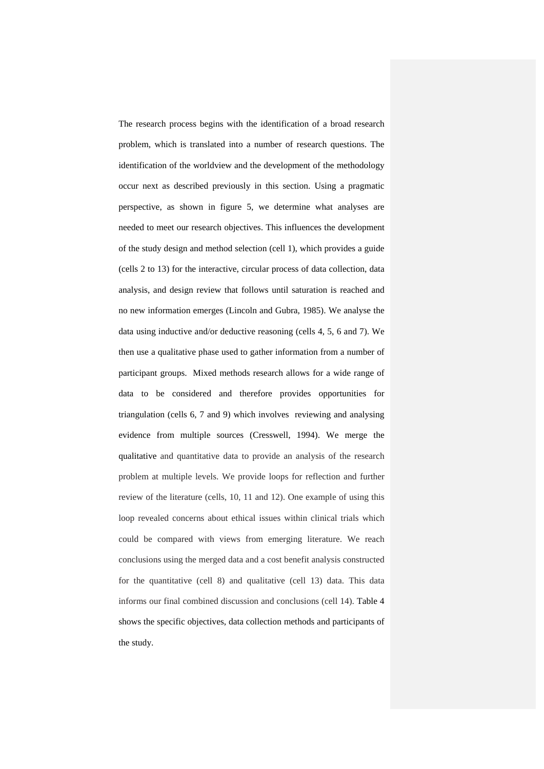The research process begins with the identification of a broad research problem, which is translated into a number of research questions. The identification of the worldview and the development of the methodology occur next as described previously in this section. Using a pragmatic perspective, as shown in figure 5, we determine what analyses are needed to meet our research objectives. This influences the development of the study design and method selection (cell 1), which provides a guide (cells 2 to 13) for the interactive, circular process of data collection, data analysis, and design review that follows until saturation is reached and no new information emerges (Lincoln and Gubra, 1985). We analyse the data using inductive and/or deductive reasoning (cells 4, 5, 6 and 7). We then use a qualitative phase used to gather information from a number of participant groups. Mixed methods research allows for a wide range of data to be considered and therefore provides opportunities for triangulation (cells 6, 7 and 9) which involves reviewing and analysing evidence from multiple sources (Cresswell, 1994). We merge the qualitative and quantitative data to provide an analysis of the research problem at multiple levels. We provide loops for reflection and further review of the literature (cells, 10, 11 and 12). One example of using this loop revealed concerns about ethical issues within clinical trials which could be compared with views from emerging literature. We reach conclusions using the merged data and a cost benefit analysis constructed for the quantitative (cell 8) and qualitative (cell 13) data. This data informs our final combined discussion and conclusions (cell 14). Table 4 shows the specific objectives, data collection methods and participants of the study.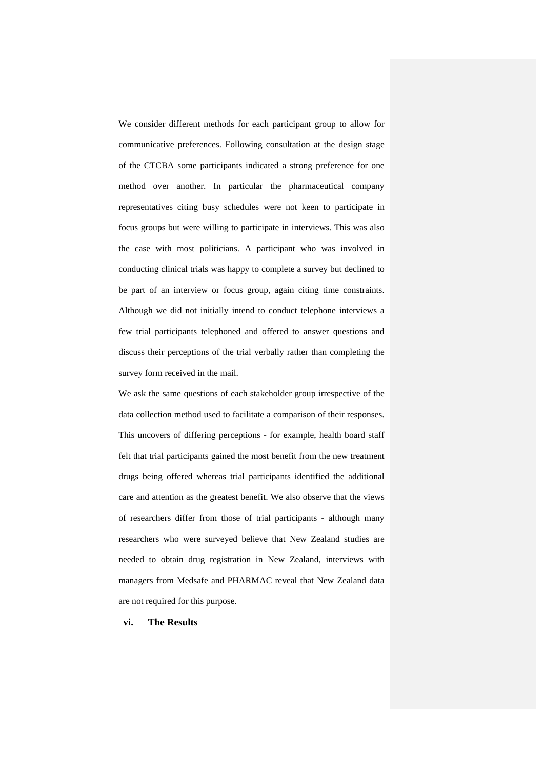We consider different methods for each participant group to allow for communicative preferences. Following consultation at the design stage of the CTCBA some participants indicated a strong preference for one method over another. In particular the pharmaceutical company representatives citing busy schedules were not keen to participate in focus groups but were willing to participate in interviews. This was also the case with most politicians. A participant who was involved in conducting clinical trials was happy to complete a survey but declined to be part of an interview or focus group, again citing time constraints. Although we did not initially intend to conduct telephone interviews a few trial participants telephoned and offered to answer questions and discuss their perceptions of the trial verbally rather than completing the survey form received in the mail.

We ask the same questions of each stakeholder group irrespective of the data collection method used to facilitate a comparison of their responses. This uncovers of differing perceptions - for example, health board staff felt that trial participants gained the most benefit from the new treatment drugs being offered whereas trial participants identified the additional care and attention as the greatest benefit. We also observe that the views of researchers differ from those of trial participants - although many researchers who were surveyed believe that New Zealand studies are needed to obtain drug registration in New Zealand, interviews with managers from Medsafe and PHARMAC reveal that New Zealand data are not required for this purpose.

#### **vi. The Results**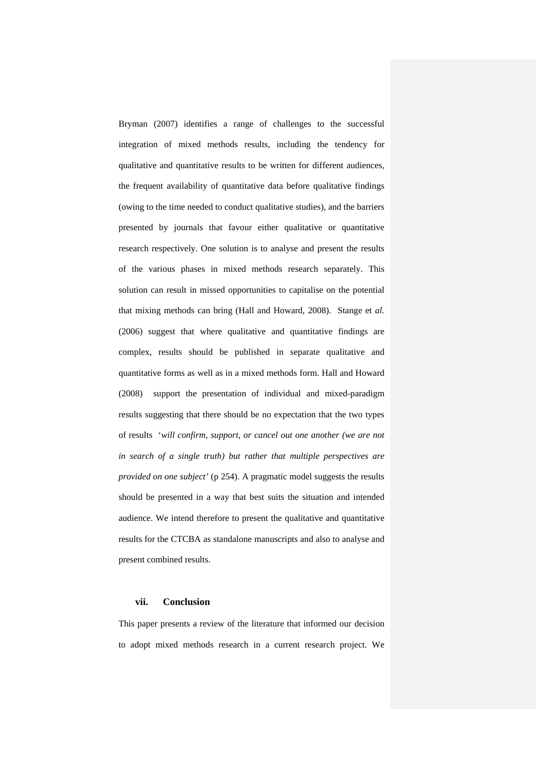Bryman (2007) identifies a range of challenges to the successful integration of mixed methods results, including the tendency for qualitative and quantitative results to be written for different audiences, the frequent availability of quantitative data before qualitative findings (owing to the time needed to conduct qualitative studies), and the barriers presented by journals that favour either qualitative or quantitative research respectively. One solution is to analyse and present the results of the various phases in mixed methods research separately. This solution can result in missed opportunities to capitalise on the potential that mixing methods can bring (Hall and Howard, 2008). Stange et *al.* (2006) suggest that where qualitative and quantitative findings are complex, results should be published in separate qualitative and quantitative forms as well as in a mixed methods form. Hall and Howard (2008) support the presentation of individual and mixed-paradigm results suggesting that there should be no expectation that the two types of results '*will confirm, support, or cancel out one another (we are not in search of a single truth) but rather that multiple perspectives are provided on one subject'* (p 254). A pragmatic model suggests the results should be presented in a way that best suits the situation and intended audience. We intend therefore to present the qualitative and quantitative results for the CTCBA as standalone manuscripts and also to analyse and present combined results.

#### **vii. Conclusion**

This paper presents a review of the literature that informed our decision to adopt mixed methods research in a current research project. We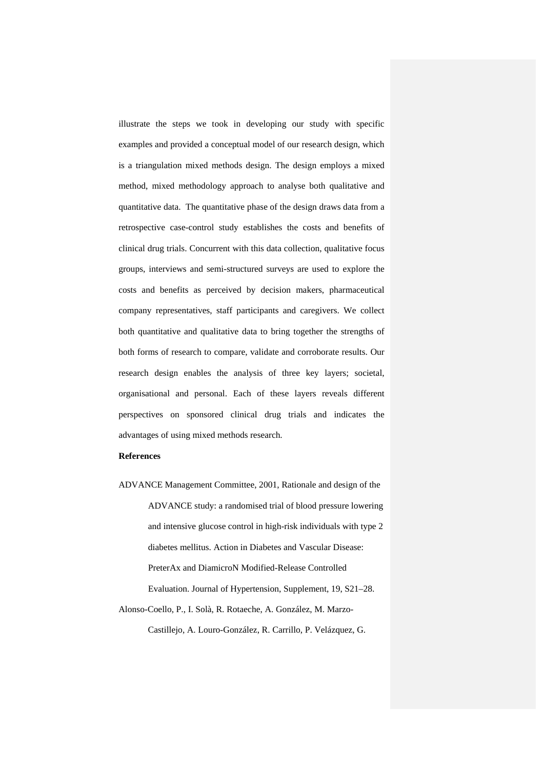illustrate the steps we took in developing our study with specific examples and provided a conceptual model of our research design, which is a triangulation mixed methods design. The design employs a mixed method, mixed methodology approach to analyse both qualitative and quantitative data. The quantitative phase of the design draws data from a retrospective case-control study establishes the costs and benefits of clinical drug trials. Concurrent with this data collection, qualitative focus groups, interviews and semi-structured surveys are used to explore the costs and benefits as perceived by decision makers, pharmaceutical company representatives, staff participants and caregivers. We collect both quantitative and qualitative data to bring together the strengths of both forms of research to compare, validate and corroborate results. Our research design enables the analysis of three key layers; societal, organisational and personal. Each of these layers reveals different perspectives on sponsored clinical drug trials and indicates the advantages of using mixed methods research.

#### **References**

ADVANCE Management Committee, 2001, Rationale and design of the ADVANCE study: a randomised trial of blood pressure lowering and intensive glucose control in high-risk individuals with type 2 diabetes mellitus. Action in Diabetes and Vascular Disease: PreterAx and DiamicroN Modified-Release Controlled Evaluation. Journal of Hypertension, Supplement, 19, S21–28. Alonso-Coello, P., I. Solà, R. Rotaeche, A. González, M. Marzo-

Castillejo, A. Louro-González, R. Carrillo, P. Velázquez, G.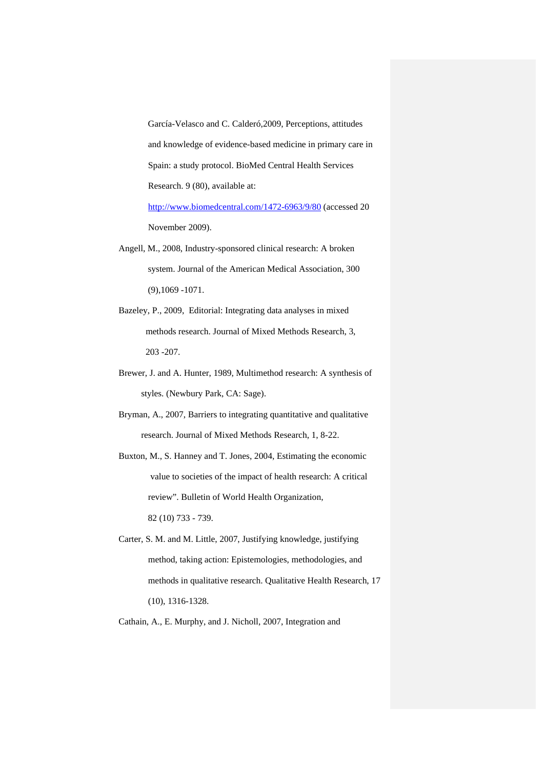García-Velasco and C. Calderó,2009, Perceptions, attitudes and knowledge of evidence-based medicine in primary care in Spain: a study protocol. BioMed Central Health Services Research. 9 (80), available at: http://www.biomedcentral.com/1472-6963/9/80 (accessed 20 November 2009).

- Angell, M., 2008, Industry-sponsored clinical research: A broken system. Journal of the American Medical Association, 300 (9),1069 -1071.
- Bazeley, P., 2009, Editorial: Integrating data analyses in mixed methods research. Journal of Mixed Methods Research, 3, 203 -207.
- Brewer, J. and A. Hunter, 1989, Multimethod research: A synthesis of styles. (Newbury Park, CA: Sage).
- Bryman, A., 2007, Barriers to integrating quantitative and qualitative research. Journal of Mixed Methods Research, 1, 8-22.

Buxton, M., S. Hanney and T. Jones, 2004, Estimating the economic value to societies of the impact of health research: A critical review". Bulletin of World Health Organization,

82 (10) 733 - 739.

Carter, S. M. and M. Little, 2007, Justifying knowledge, justifying method, taking action: Epistemologies, methodologies, and methods in qualitative research. Qualitative Health Research, 17 (10), 1316-1328.

Cathain, A., E. Murphy, and J. Nicholl, 2007, Integration and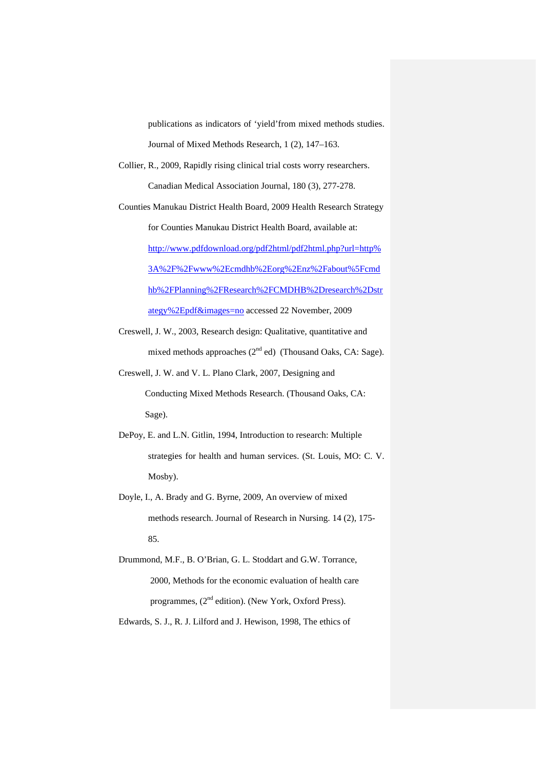publications as indicators of 'yield'from mixed methods studies. Journal of Mixed Methods Research, 1 (2), 147–163.

Collier, R., 2009, Rapidly rising clinical trial costs worry researchers. Canadian Medical Association Journal, 180 (3), 277-278.

Counties Manukau District Health Board, 2009 Health Research Strategy for Counties Manukau District Health Board, available at: http://www.pdfdownload.org/pdf2html/pdf2html.php?url=http% 3A%2F%2Fwww%2Ecmdhb%2Eorg%2Enz%2Fabout%5Fcmd hb%2FPlanning%2FResearch%2FCMDHB%2Dresearch%2Dstr ategy%2Epdf&images=no accessed 22 November, 2009

- Creswell, J. W., 2003, Research design: Qualitative, quantitative and mixed methods approaches  $(2<sup>nd</sup>$ ed) (Thousand Oaks, CA: Sage).
- Creswell, J. W. and V. L. Plano Clark, 2007, Designing and Conducting Mixed Methods Research. (Thousand Oaks, CA: Sage).
- DePoy, E. and L.N. Gitlin, 1994, Introduction to research: Multiple strategies for health and human services. (St. Louis, MO: C. V. Mosby).
- Doyle, I., A. Brady and G. Byrne, 2009, An overview of mixed methods research. Journal of Research in Nursing. 14 (2), 175- 85.
- Drummond, M.F., B. O'Brian, G. L. Stoddart and G.W. Torrance, 2000, Methods for the economic evaluation of health care programmes,  $(2<sup>nd</sup> edition)$ . (New York, Oxford Press).

Edwards, S. J., R. J. Lilford and J. Hewison, 1998, The ethics of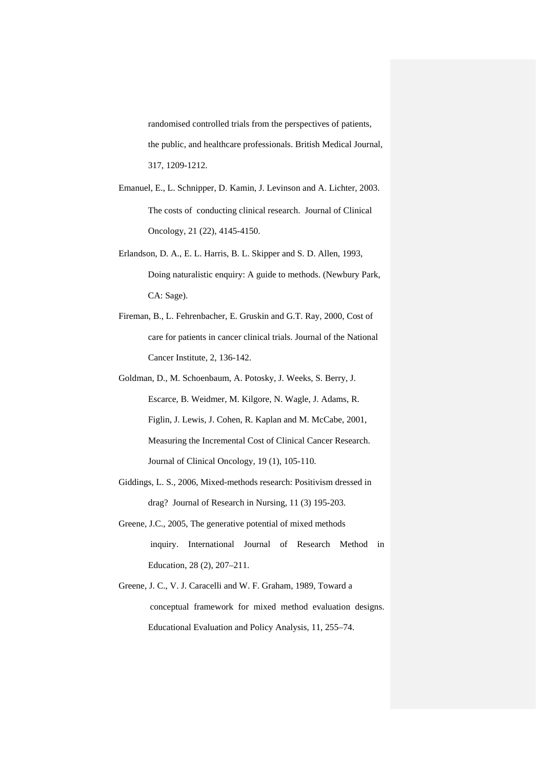randomised controlled trials from the perspectives of patients, the public, and healthcare professionals. British Medical Journal, 317, 1209-1212.

- Emanuel, E., L. Schnipper, D. Kamin, J. Levinson and A. Lichter, 2003. The costs of conducting clinical research. Journal of Clinical Oncology, 21 (22), 4145-4150.
- Erlandson, D. A., E. L. Harris, B. L. Skipper and S. D. Allen, 1993, Doing naturalistic enquiry: A guide to methods. (Newbury Park, CA: Sage).
- Fireman, B., L. Fehrenbacher, E. Gruskin and G.T. Ray, 2000, Cost of care for patients in cancer clinical trials. Journal of the National Cancer Institute, 2, 136-142.
- Goldman, D., M. Schoenbaum, A. Potosky, J. Weeks, S. Berry, J. Escarce, B. Weidmer, M. Kilgore, N. Wagle, J. Adams, R. Figlin, J. Lewis, J. Cohen, R. Kaplan and M. McCabe, 2001, Measuring the Incremental Cost of Clinical Cancer Research. Journal of Clinical Oncology, 19 (1), 105-110.
- Giddings, L. S., 2006, Mixed-methods research: Positivism dressed in drag? Journal of Research in Nursing, 11 (3) 195-203.
- Greene, J.C., 2005, The generative potential of mixed methods inquiry. International Journal of Research Method in Education, 28 (2), 207–211.
- Greene, J. C., V. J. Caracelli and W. F. Graham, 1989, Toward a conceptual framework for mixed method evaluation designs. Educational Evaluation and Policy Analysis, 11, 255–74.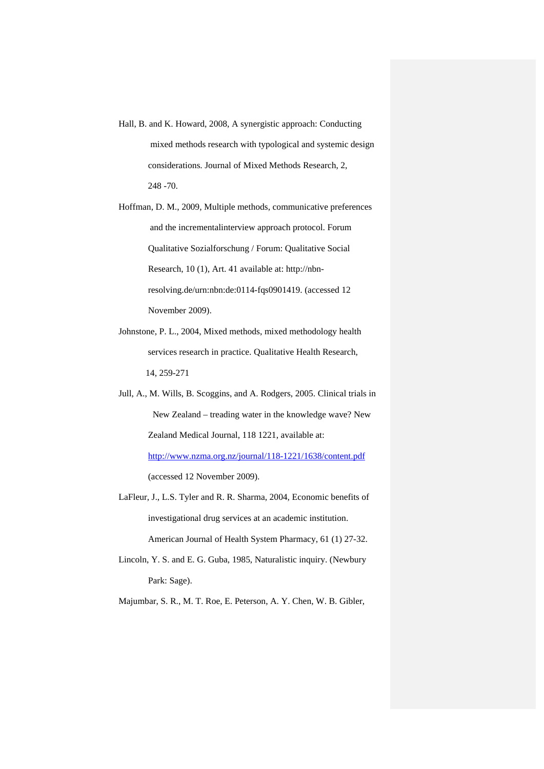- Hall, B. and K. Howard, 2008, A synergistic approach: Conducting mixed methods research with typological and systemic design considerations. Journal of Mixed Methods Research, 2, 248 -70.
- Hoffman, D. M., 2009, Multiple methods, communicative preferences and the incrementalinterview approach protocol. Forum Qualitative Sozialforschung / Forum: Qualitative Social Research, 10 (1), Art. 41 available at: http://nbnresolving.de/urn:nbn:de:0114-fqs0901419. (accessed 12 November 2009).
- Johnstone, P. L., 2004, Mixed methods, mixed methodology health services research in practice. Qualitative Health Research, 14, 259-271
- Jull, A., M. Wills, B. Scoggins, and A. Rodgers, 2005. Clinical trials in New Zealand – treading water in the knowledge wave? New Zealand Medical Journal, 118 1221, available at: http://www.nzma.org.nz/journal/118-1221/1638/content.pdf (accessed 12 November 2009).
- LaFleur, J., L.S. Tyler and R. R. Sharma, 2004, Economic benefits of investigational drug services at an academic institution. American Journal of Health System Pharmacy, 61 (1) 27-32.
- Lincoln, Y. S. and E. G. Guba, 1985, Naturalistic inquiry. (Newbury Park: Sage).

Majumbar, S. R., M. T. Roe, E. Peterson, A. Y. Chen, W. B. Gibler,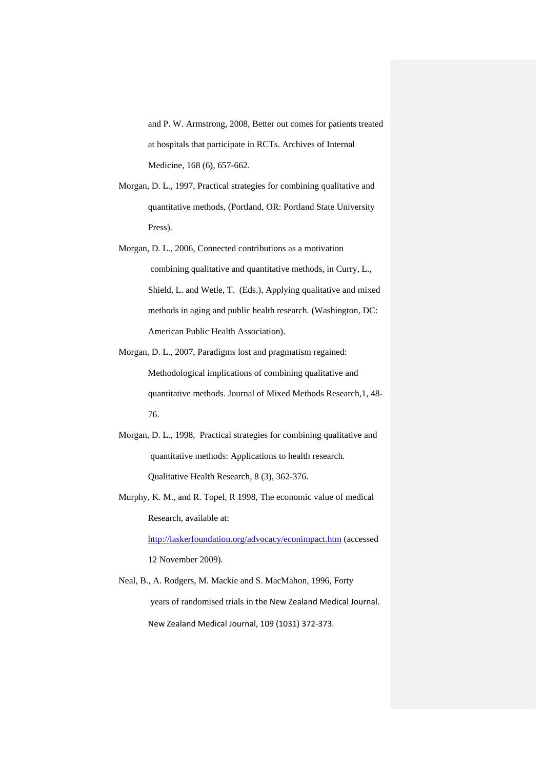and P. W. Armstrong, 2008, Better out comes for patients treated at hospitals that participate in RCTs. Archives of Internal Medicine, 168 (6), 657-662.

- Morgan, D. L., 1997, Practical strategies for combining qualitative and quantitative methods, (Portland, OR: Portland State University Press).
- Morgan, D. L., 2006, Connected contributions as a motivation combining qualitative and quantitative methods, in Curry, L., Shield, L. and Wetle, T. (Eds.), Applying qualitative and mixed methods in aging and public health research. (Washington, DC: American Public Health Association).
- Morgan, D. L., 2007, Paradigms lost and pragmatism regained: Methodological implications of combining qualitative and quantitative methods. Journal of Mixed Methods Research,1, 48- 76.
- Morgan, D. L., 1998, Practical strategies for combining qualitative and quantitative methods: Applications to health research. Qualitative Health Research, 8 (3), 362-376.
- Murphy, K. M., and R. Topel, R 1998, The economic value of medical Research, available at:

http://laskerfoundation.org/advocacy/econimpact.htm (accessed 12 November 2009).

Neal, B., A. Rodgers, M. Mackie and S. MacMahon, 1996, Forty years of randomised trials in the New Zealand Medical Journal. New Zealand Medical Journal, 109 (1031) 372‐373.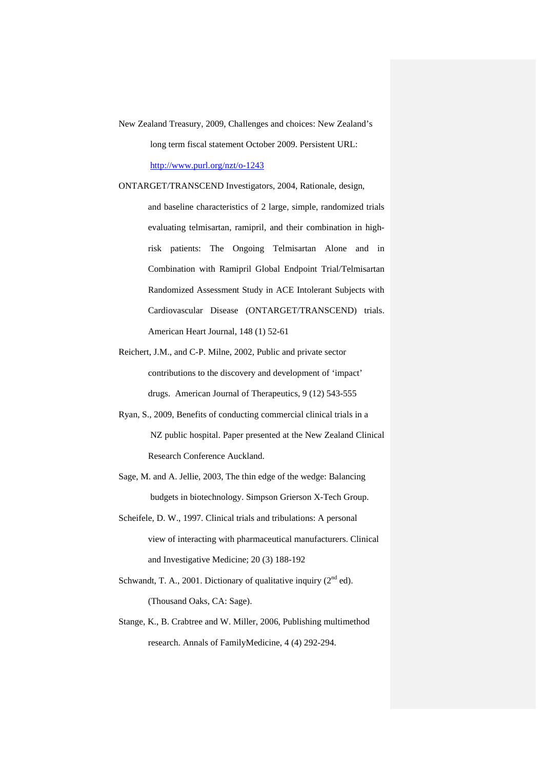- New Zealand Treasury, 2009, Challenges and choices: New Zealand's long term fiscal statement October 2009. Persistent URL: http://www.purl.org/nzt/o-1243
- ONTARGET/TRANSCEND Investigators, 2004, Rationale, design, and baseline characteristics of 2 large, simple, randomized trials evaluating telmisartan, ramipril, and their combination in highrisk patients: The Ongoing Telmisartan Alone and in Combination with Ramipril Global Endpoint Trial/Telmisartan Randomized Assessment Study in ACE Intolerant Subjects with Cardiovascular Disease (ONTARGET/TRANSCEND) trials. American Heart Journal, 148 (1) 52-61
- Reichert, J.M., and C-P. Milne, 2002, Public and private sector contributions to the discovery and development of 'impact' drugs. American Journal of Therapeutics, 9 (12) 543-555
- Ryan, S., 2009, Benefits of conducting commercial clinical trials in a NZ public hospital. Paper presented at the New Zealand Clinical Research Conference Auckland.
- Sage, M. and A. Jellie, 2003, The thin edge of the wedge: Balancing budgets in biotechnology. Simpson Grierson X-Tech Group.
- Scheifele, D. W., 1997. Clinical trials and tribulations: A personal view of interacting with pharmaceutical manufacturers. Clinical and Investigative Medicine; 20 (3) 188-192
- Schwandt, T. A., 2001. Dictionary of qualitative inquiry  $(2<sup>nd</sup>$  ed). (Thousand Oaks, CA: Sage).
- Stange, K., B. Crabtree and W. Miller, 2006, Publishing multimethod research. Annals of FamilyMedicine, 4 (4) 292-294.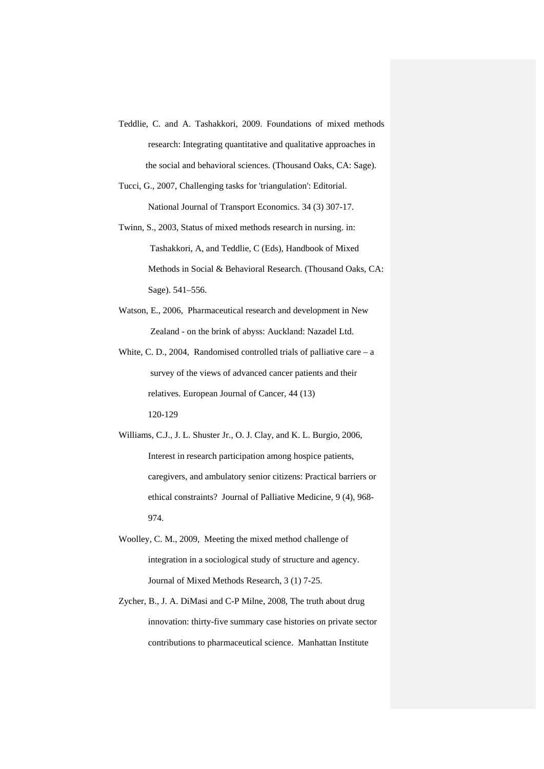- Teddlie, C. and A. Tashakkori, 2009. Foundations of mixed methods research: Integrating quantitative and qualitative approaches in the social and behavioral sciences. (Thousand Oaks, CA: Sage).
- Tucci, G., 2007, Challenging tasks for 'triangulation': Editorial. National Journal of Transport Economics. 34 (3) 307-17.
- Twinn, S., 2003, Status of mixed methods research in nursing. in: Tashakkori, A, and Teddlie, C (Eds), Handbook of Mixed Methods in Social & Behavioral Research. (Thousand Oaks, CA: Sage). 541–556.
- Watson, E., 2006, Pharmaceutical research and development in New Zealand - on the brink of abyss: Auckland: Nazadel Ltd.
- White, C. D., 2004, Randomised controlled trials of palliative care  $-$  a survey of the views of advanced cancer patients and their relatives. European Journal of Cancer, 44 (13) 120-129
- Williams, C.J., J. L. Shuster Jr., O. J. Clay, and K. L. Burgio, 2006, Interest in research participation among hospice patients, caregivers, and ambulatory senior citizens: Practical barriers or ethical constraints? Journal of Palliative Medicine, 9 (4), 968- 974.
- Woolley, C. M., 2009, Meeting the mixed method challenge of integration in a sociological study of structure and agency. Journal of Mixed Methods Research, 3 (1) 7-25.
- Zycher, B., J. A. DiMasi and C-P Milne, 2008, The truth about drug innovation: thirty-five summary case histories on private sector contributions to pharmaceutical science. Manhattan Institute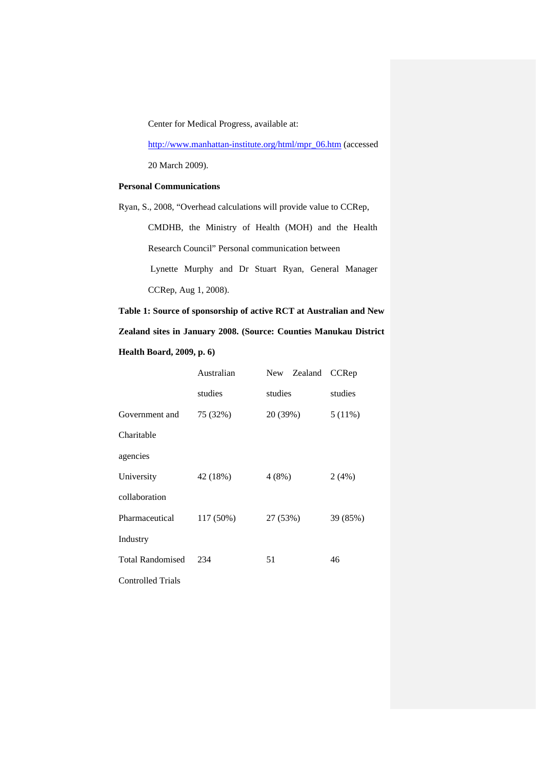Center for Medical Progress, available at:

http://www.manhattan-institute.org/html/mpr\_06.htm (accessed 20 March 2009).

# **Personal Communications**

Ryan, S., 2008, "Overhead calculations will provide value to CCRep,

CMDHB, the Ministry of Health (MOH) and the Health Research Council" Personal communication between Lynette Murphy and Dr Stuart Ryan, General Manager CCRep, Aug 1, 2008).

**Table 1: Source of sponsorship of active RCT at Australian and New Zealand sites in January 2008. (Source: Counties Manukau District Health Board, 2009, p. 6)** 

|                          | Australian | New Zealand |  | CCRep     |
|--------------------------|------------|-------------|--|-----------|
|                          | studies    | studies     |  | studies   |
| Government and           | 75 (32%)   | 20 (39%)    |  | $5(11\%)$ |
| Charitable               |            |             |  |           |
| agencies                 |            |             |  |           |
| University               | 42 (18%)   | 4(8%)       |  | 2(4%)     |
| collaboration            |            |             |  |           |
| Pharmaceutical           | 117 (50%)  | 27 (53%)    |  | 39 (85%)  |
| Industry                 |            |             |  |           |
| <b>Total Randomised</b>  | 234        | 51          |  | 46        |
| <b>Controlled Trials</b> |            |             |  |           |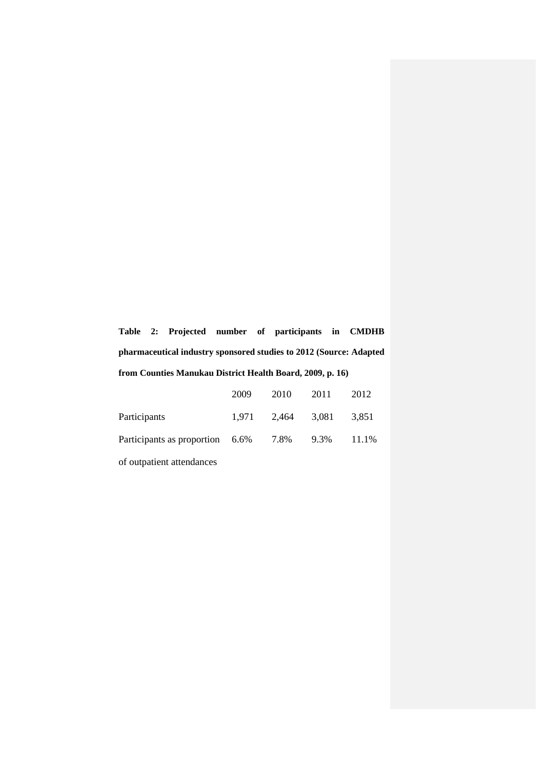**Table 2: Projected number of participants in CMDHB pharmaceutical industry sponsored studies to 2012 (Source: Adapted from Counties Manukau District Health Board, 2009, p. 16)** 

|                                 | 2009  | 2010  | 2011  | 2012  |
|---------------------------------|-------|-------|-------|-------|
| Participants                    | 1.971 | 2,464 | 3,081 | 3,851 |
| Participants as proportion 6.6% |       | 7.8%  | 9.3%  | 11.1% |
| of outpatient attendances       |       |       |       |       |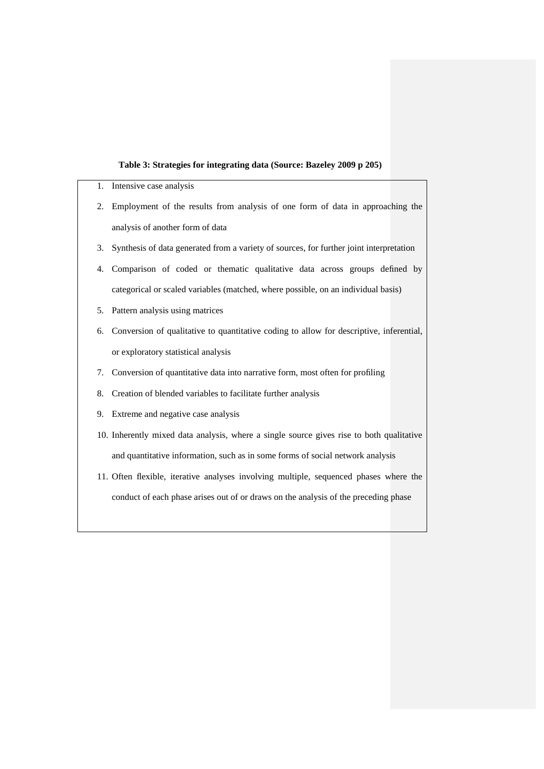# **Table 3: Strategies for integrating data (Source: Bazeley 2009 p 205)**

|    | 1. Intensive case analysis                                                               |
|----|------------------------------------------------------------------------------------------|
| 2. | Employment of the results from analysis of one form of data in approaching the           |
|    | analysis of another form of data                                                         |
| 3. | Synthesis of data generated from a variety of sources, for further joint interpretation  |
| 4. | Comparison of coded or thematic qualitative data across groups defined by                |
|    | categorical or scaled variables (matched, where possible, on an individual basis)        |
| 5. | Pattern analysis using matrices                                                          |
| 6. | Conversion of qualitative to quantitative coding to allow for descriptive, inferential,  |
|    | or exploratory statistical analysis                                                      |
| 7. | Conversion of quantitative data into narrative form, most often for profiling            |
| 8. | Creation of blended variables to facilitate further analysis                             |
| 9. | Extreme and negative case analysis                                                       |
|    | 10. Inherently mixed data analysis, where a single source gives rise to both qualitative |
|    | and quantitative information, such as in some forms of social network analysis           |
|    | 11. Often flexible, iterative analyses involving multiple, sequenced phases where the    |
|    | conduct of each phase arises out of or draws on the analysis of the preceding phase      |
|    |                                                                                          |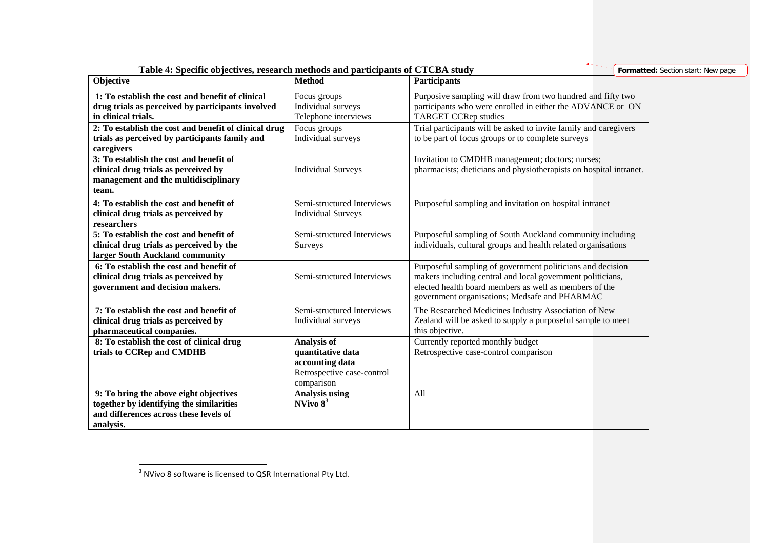| Table 4: Specific objectives, research methods and participants of CTCBA study                                                            |                                                                                                        |                                                                                                                                                                                                                                     | Formatted: Section start: New page |
|-------------------------------------------------------------------------------------------------------------------------------------------|--------------------------------------------------------------------------------------------------------|-------------------------------------------------------------------------------------------------------------------------------------------------------------------------------------------------------------------------------------|------------------------------------|
| Objective                                                                                                                                 | <b>Method</b>                                                                                          | <b>Participants</b>                                                                                                                                                                                                                 |                                    |
| 1: To establish the cost and benefit of clinical<br>drug trials as perceived by participants involved<br>in clinical trials.              | Focus groups<br>Individual surveys<br>Telephone interviews                                             | Purposive sampling will draw from two hundred and fifty two<br>participants who were enrolled in either the ADVANCE or ON<br><b>TARGET CCRep studies</b>                                                                            |                                    |
| 2: To establish the cost and benefit of clinical drug<br>trials as perceived by participants family and<br>caregivers                     | Focus groups<br>Individual surveys                                                                     | Trial participants will be asked to invite family and caregivers<br>to be part of focus groups or to complete surveys                                                                                                               |                                    |
| 3: To establish the cost and benefit of<br>clinical drug trials as perceived by<br>management and the multidisciplinary<br>team.          | <b>Individual Surveys</b>                                                                              | Invitation to CMDHB management; doctors; nurses;<br>pharmacists; dieticians and physiotherapists on hospital intranet.                                                                                                              |                                    |
| 4: To establish the cost and benefit of<br>clinical drug trials as perceived by<br>researchers                                            | Semi-structured Interviews<br><b>Individual Surveys</b>                                                | Purposeful sampling and invitation on hospital intranet                                                                                                                                                                             |                                    |
| 5: To establish the cost and benefit of<br>clinical drug trials as perceived by the<br>larger South Auckland community                    | Semi-structured Interviews<br>Surveys                                                                  | Purposeful sampling of South Auckland community including<br>individuals, cultural groups and health related organisations                                                                                                          |                                    |
| 6: To establish the cost and benefit of<br>clinical drug trials as perceived by<br>government and decision makers.                        | Semi-structured Interviews                                                                             | Purposeful sampling of government politicians and decision<br>makers including central and local government politicians,<br>elected health board members as well as members of the<br>government organisations; Medsafe and PHARMAC |                                    |
| 7: To establish the cost and benefit of<br>clinical drug trials as perceived by<br>pharmaceutical companies.                              | Semi-structured Interviews<br>Individual surveys                                                       | The Researched Medicines Industry Association of New<br>Zealand will be asked to supply a purposeful sample to meet<br>this objective.                                                                                              |                                    |
| 8: To establish the cost of clinical drug<br>trials to CCRep and CMDHB                                                                    | <b>Analysis of</b><br>quantitative data<br>accounting data<br>Retrospective case-control<br>comparison | Currently reported monthly budget<br>Retrospective case-control comparison                                                                                                                                                          |                                    |
| 9: To bring the above eight objectives<br>together by identifying the similarities<br>and differences across these levels of<br>analysis. | <b>Analysis using</b><br>NVivo $8^3$                                                                   | All                                                                                                                                                                                                                                 |                                    |

 $3$  NVivo 8 software is licensed to QSR International Pty Ltd.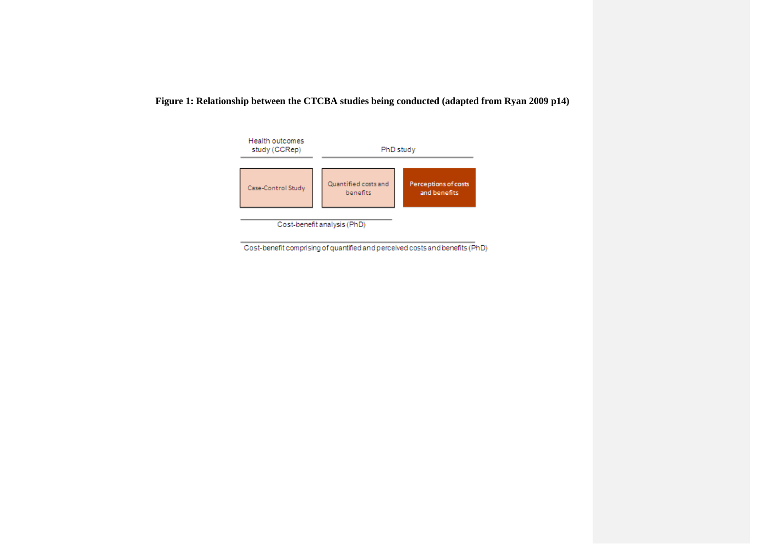

**Figure 1: Relationship between the CTCBA studies being conducted (adapted from Ryan 2009 p14)** 

Cost-benefit comprising of quantified and perceived costs and benefits (PhD)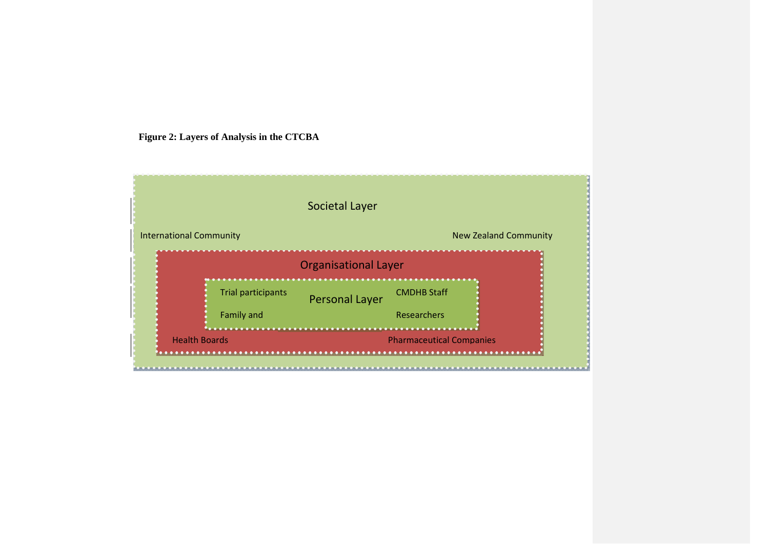**Figure 2: Layers of Analysis in the CTCBA** 

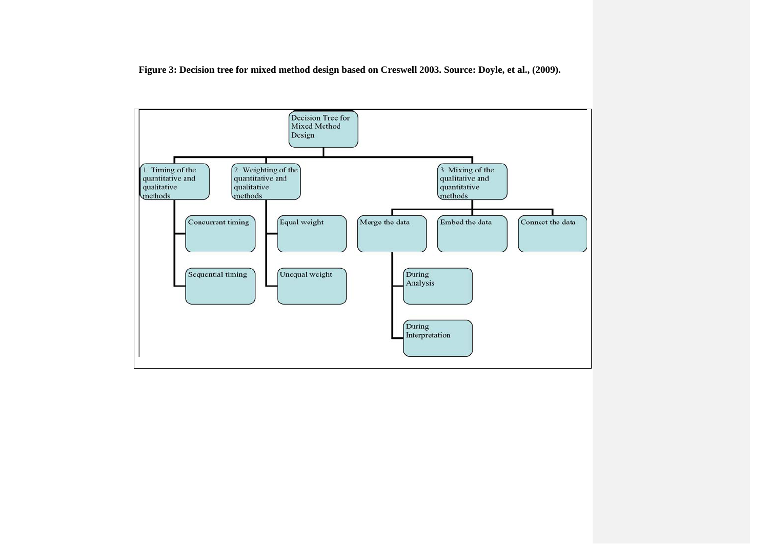**Figure 3: Decision tree for mixed method design based on Creswell 2003. Source: Doyle, et al., (2009).** 

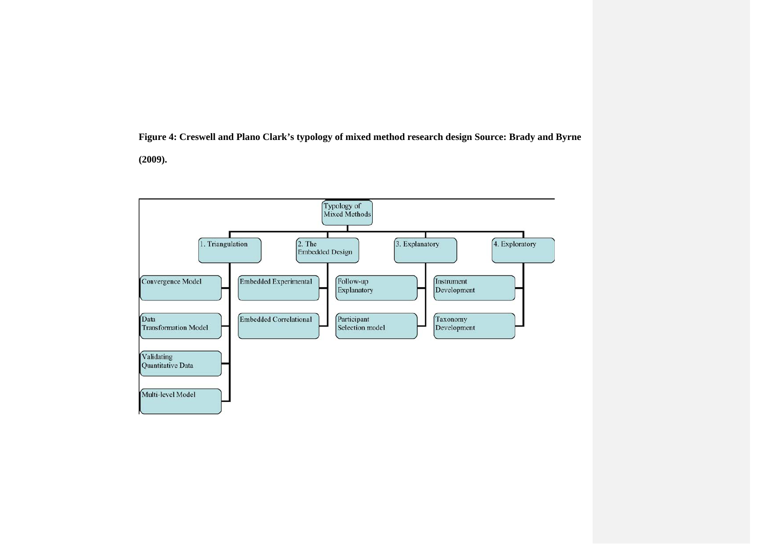**Figure 4: Creswell and Plano Clark's typology of mixed method research design Source: Brady and Byrne (2009).**